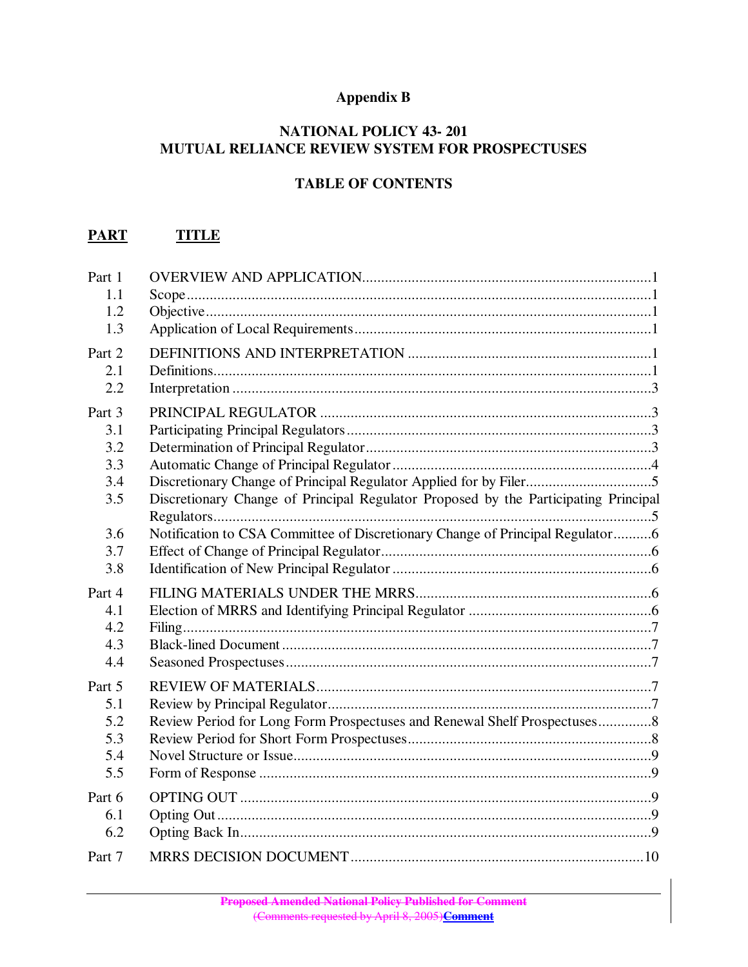## **Appendix B**

### **NATIONAL POLICY 43- 201 MUTUAL RELIANCE REVIEW SYSTEM FOR PROSPECTUSES**

# **TABLE OF CONTENTS**

## **PART TITLE**

| Part 1<br>1.1<br>1.2<br>1.3               |                                                                                     |  |
|-------------------------------------------|-------------------------------------------------------------------------------------|--|
| Part 2<br>2.1<br>2.2                      |                                                                                     |  |
| Part 3<br>3.1<br>3.2<br>3.3<br>3.4<br>3.5 | Discretionary Change of Principal Regulator Proposed by the Participating Principal |  |
| 3.6<br>3.7<br>3.8                         | Notification to CSA Committee of Discretionary Change of Principal Regulator6       |  |
| Part 4<br>4.1<br>4.2<br>4.3<br>4.4        |                                                                                     |  |
| Part 5<br>5.1<br>5.2<br>5.3<br>5.4<br>5.5 | Review Period for Long Form Prospectuses and Renewal Shelf Prospectuses8            |  |
| Part 6<br>6.1<br>6.2                      |                                                                                     |  |
| Part 7                                    |                                                                                     |  |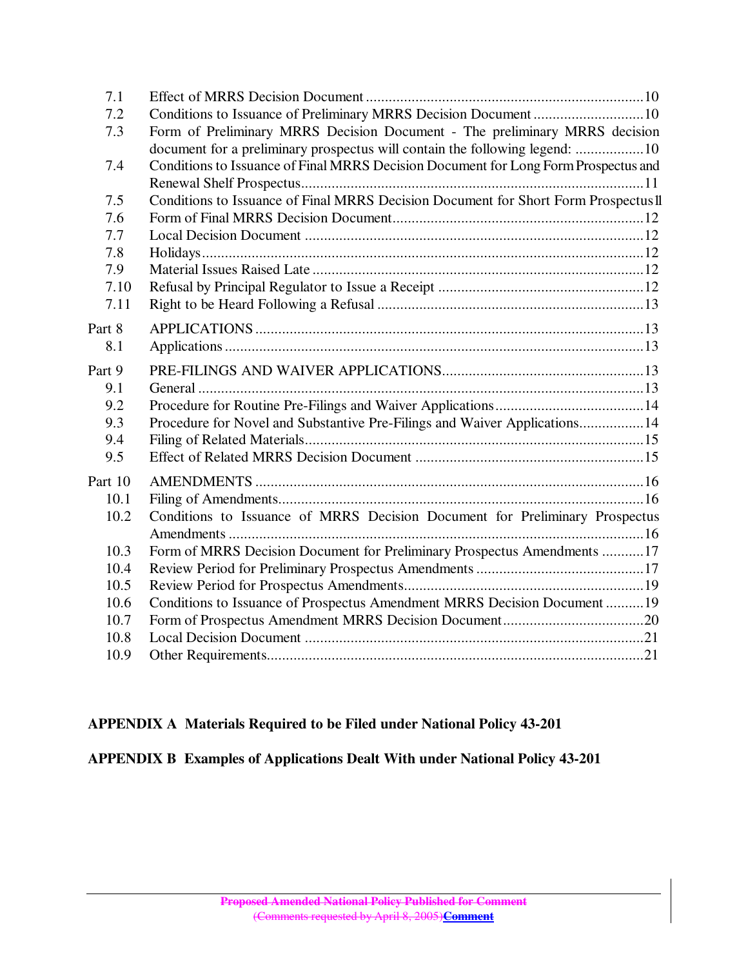| 7.1     |                                                                                     |  |
|---------|-------------------------------------------------------------------------------------|--|
| 7.2     | Conditions to Issuance of Preliminary MRRS Decision Document 10                     |  |
| 7.3     | Form of Preliminary MRRS Decision Document - The preliminary MRRS decision          |  |
|         | document for a preliminary prospectus will contain the following legend: 10         |  |
| 7.4     | Conditions to Issuance of Final MRRS Decision Document for Long Form Prospectus and |  |
|         |                                                                                     |  |
| 7.5     | Conditions to Issuance of Final MRRS Decision Document for Short Form Prospectus II |  |
| 7.6     |                                                                                     |  |
| 7.7     |                                                                                     |  |
| 7.8     |                                                                                     |  |
| 7.9     |                                                                                     |  |
| 7.10    |                                                                                     |  |
| 7.11    |                                                                                     |  |
| Part 8  |                                                                                     |  |
| 8.1     |                                                                                     |  |
|         |                                                                                     |  |
| Part 9  |                                                                                     |  |
| 9.1     |                                                                                     |  |
| 9.2     |                                                                                     |  |
| 9.3     | Procedure for Novel and Substantive Pre-Filings and Waiver Applications14           |  |
| 9.4     |                                                                                     |  |
| 9.5     |                                                                                     |  |
| Part 10 |                                                                                     |  |
| 10.1    |                                                                                     |  |
| 10.2    | Conditions to Issuance of MRRS Decision Document for Preliminary Prospectus         |  |
|         |                                                                                     |  |
| 10.3    | Form of MRRS Decision Document for Preliminary Prospectus Amendments 17             |  |
| 10.4    |                                                                                     |  |
| 10.5    |                                                                                     |  |
| 10.6    | Conditions to Issuance of Prospectus Amendment MRRS Decision Document  19           |  |
| 10.7    |                                                                                     |  |
| 10.8    |                                                                                     |  |
| 10.9    |                                                                                     |  |
|         |                                                                                     |  |

## **APPENDIX A Materials Required to be Filed under National Policy 43-201**

**APPENDIX B Examples of Applications Dealt With under National Policy 43-201**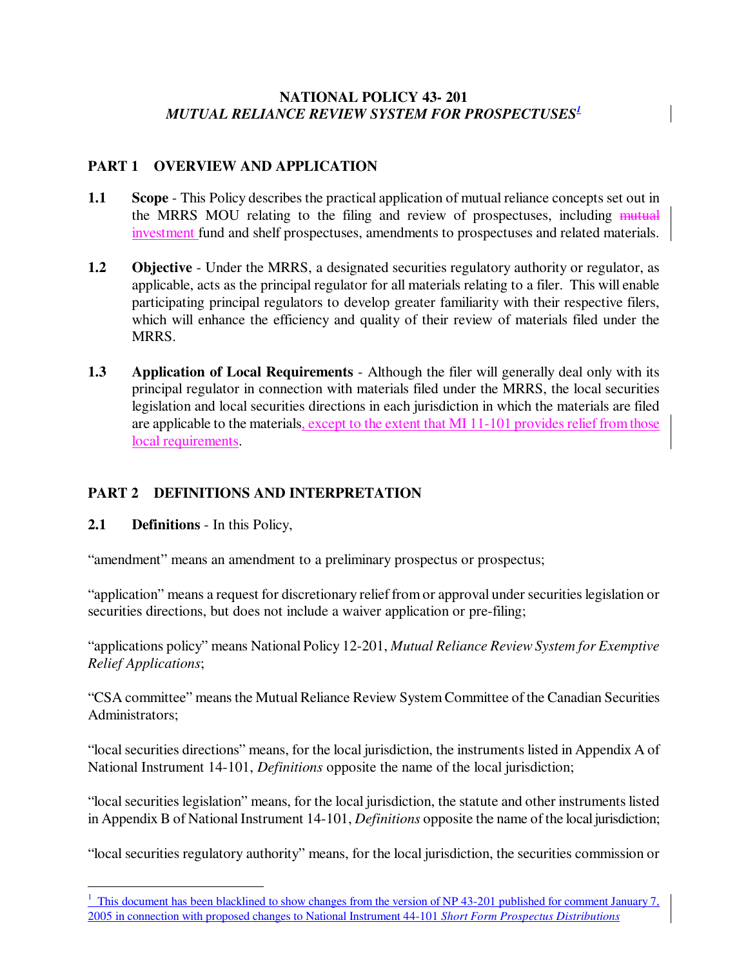## **NATIONAL POLICY 43- 201** *MUTUAL RELIANCE REVIEW SYSTEM FOR PROSPECTUSES 1*

## **PART 1 OVERVIEW AND APPLICATION**

- **1.1 Scope** This Policy describes the practical application of mutual reliance concepts set out in the MRRS MOU relating to the filing and review of prospectuses, including mutual investment fund and shelf prospectuses, amendments to prospectuses and related materials.
- **1.2 Objective** Under the MRRS, a designated securities regulatory authority or regulator, as applicable, acts as the principal regulator for all materials relating to a filer. This will enable participating principal regulators to develop greater familiarity with their respective filers, which will enhance the efficiency and quality of their review of materials filed under the MRRS.
- **1.3 Application of Local Requirements** Although the filer will generally deal only with its principal regulator in connection with materials filed under the MRRS, the local securities legislation and local securities directions in each jurisdiction in which the materials are filed are applicable to the materials, except to the extent that MI 11-101 provides relief from those local requirements.

## **PART 2 DEFINITIONS AND INTERPRETATION**

**2.1 Definitions** - In this Policy,

"amendment" means an amendment to a preliminary prospectus or prospectus;

"application" means a request for discretionary relief from or approval under securitieslegislation or securities directions, but does not include a waiver application or pre-filing;

"applications policy" means National Policy 12-201, *Mutual Reliance ReviewSystem for Exemptive Relief Applications*;

"CSA committee" meansthe MutualReliance Review System Committee of the Canadian Securities Administrators;

"localsecurities directions" means, for the local jurisdiction, the instruments listed in Appendix A of National Instrument 14-101, *Definitions* opposite the name of the local jurisdiction;

"local securities legislation" means, for the local jurisdiction, the statute and other instruments listed in Appendix B of National Instrument 14-101, *Definitions* opposite the name of the local jurisdiction;

"local securities regulatory authority" means, for the local jurisdiction, the securities commission or

 $\frac{1}{1}$  This document has been blacklined to show changes from the version of NP 43-201 published for comment January 7, 2005 in connection with proposed changes to National Instrument 44-101 *Short Form Prospectus Distributions*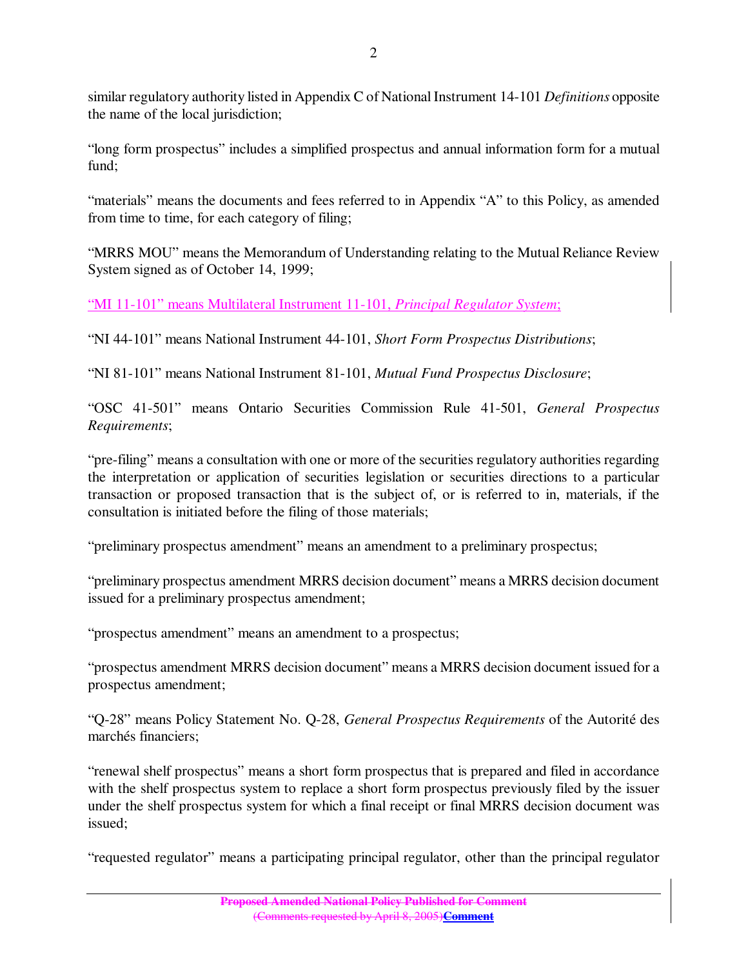similar regulatory authority listed in Appendix C of National Instrument 14-101 *Definitions* opposite the name of the local jurisdiction;

"long form prospectus" includes a simplified prospectus and annual information form for a mutual fund;

"materials" means the documents and fees referred to in Appendix "A" to this Policy, as amended from time to time, for each category of filing;

"MRRS MOU" means the Memorandum of Understanding relating to the Mutual Reliance Review System signed as of October 14, 1999;

"MI 11-101" means Multilateral Instrument 11-101, *Principal Regulator System*;

"NI 44-101" means National Instrument 44-101, *Short Form Prospectus Distributions*;

"NI 81-101" means National Instrument 81-101, *Mutual Fund Prospectus Disclosure*;

"OSC 41-501" means Ontario Securities Commission Rule 41-501, *General Prospectus Requirements*;

"pre-filing" means a consultation with one or more of the securities regulatory authorities regarding the interpretation or application of securities legislation or securities directions to a particular transaction or proposed transaction that is the subject of, or is referred to in, materials, if the consultation is initiated before the filing of those materials;

"preliminary prospectus amendment" means an amendment to a preliminary prospectus;

"preliminary prospectus amendment MRRS decision document" means a MRRS decision document issued for a preliminary prospectus amendment;

"prospectus amendment" means an amendment to a prospectus;

"prospectus amendment MRRS decision document" means a MRRS decision document issued for a prospectus amendment;

"Q-28" means Policy Statement No. Q-28, *General Prospectus Requirements* of the Autorité des marchés financiers;

"renewal shelf prospectus" means a short form prospectus that is prepared and filed in accordance with the shelf prospectus system to replace a short form prospectus previously filed by the issuer under the shelf prospectus system for which a final receipt or final MRRS decision document was issued;

"requested regulator" means a participating principal regulator, other than the principal regulator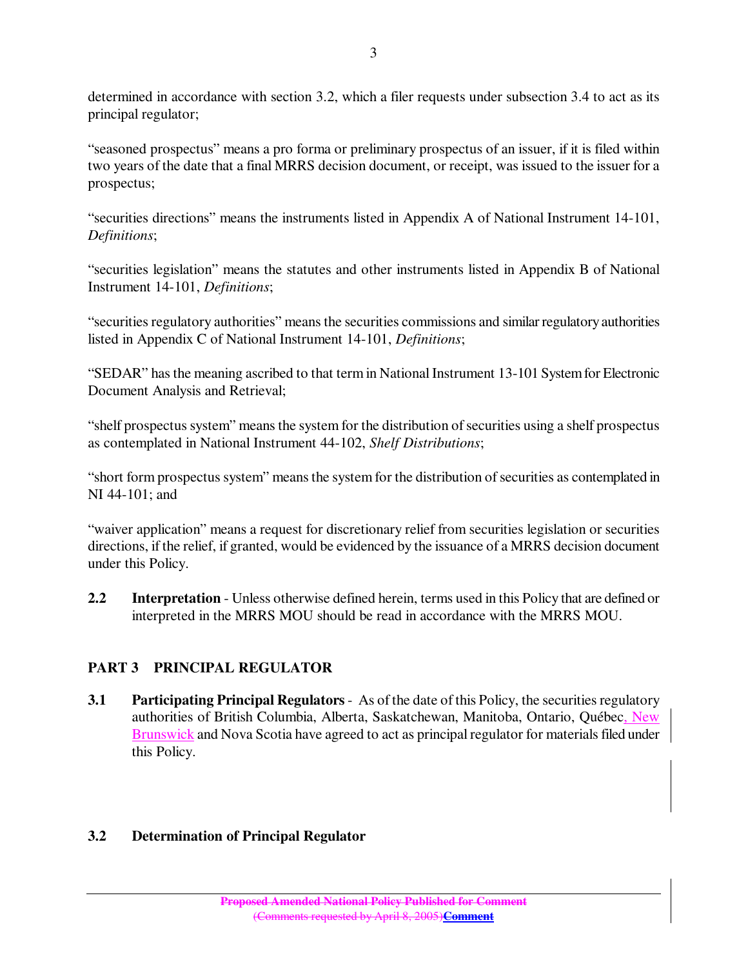determined in accordance with section 3.2, which a filer requests under subsection 3.4 to act as its principal regulator;

"seasoned prospectus" means a pro forma or preliminary prospectus of an issuer, if it is filed within two years of the date that a final MRRS decision document, or receipt, was issued to the issuer for a prospectus;

"securities directions" means the instruments listed in Appendix A of National Instrument 14-101, *Definitions*;

"securities legislation" means the statutes and other instruments listed in Appendix B of National Instrument 14-101, *Definitions*;

"securities regulatory authorities" means the securities commissions and similar regulatory authorities listed in Appendix C of National Instrument 14-101, *Definitions*;

"SEDAR" has the meaning ascribed to that term in National Instrument 13-101 System for Electronic Document Analysis and Retrieval;

"shelf prospectus system" means the system for the distribution of securities using a shelf prospectus as contemplated in National Instrument 44-102, *Shelf Distributions*;

"short form prospectus system" means the system for the distribution of securities as contemplated in NI 44-101; and

"waiver application" means a request for discretionary relief from securities legislation or securities directions, if the relief, if granted, would be evidenced by the issuance of a MRRS decision document under this Policy.

**2.2 Interpretation** - Unless otherwise defined herein, terms used in this Policy that are defined or interpreted in the MRRS MOU should be read in accordance with the MRRS MOU.

# **PART 3 PRINCIPAL REGULATOR**

**3.1 Participating Principal Regulators** - As of the date of this Policy, the securities regulatory authorities of British Columbia, Alberta, Saskatchewan, Manitoba, Ontario, Québec, New Brunswick and Nova Scotia have agreed to act as principal regulator for materials filed under this Policy.

## **3.2 Determination of Principal Regulator**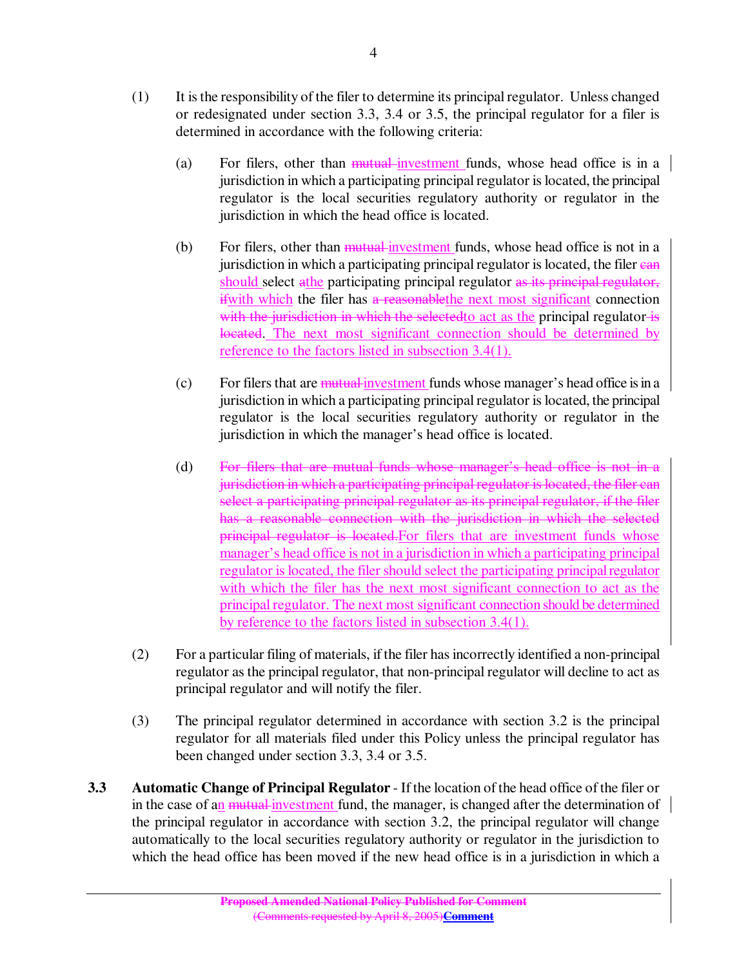- (1) It isthe responsibility of the filer to determine its principalregulator. Unless changed or redesignated under section 3.3, 3.4 or 3.5, the principal regulator for a filer is determined in accordance with the following criteria:
	- (a) For filers, other than mutual investment funds, whose head office is in a jurisdiction in which a participating principal regulator is located, the principal regulator is the local securities regulatory authority or regulator in the jurisdiction in which the head office is located.
	- (b) For filers, other than mutual investment funds, whose head office is not in a jurisdiction in which a participating principal regulator is located, the filer can should select athe participating principal regulator as its principal regulator, ifwith which the filer has a reasonablethe next most significant connection with the jurisdiction in which the selected to act as the principal regulator is located. The next most significant connection should be determined by reference to the factors listed in subsection 3.4(1).
	- $(c)$  For filers that are mutual investment funds whose manager's head office is in a jurisdiction in which a participating principal regulator is located, the principal regulator is the local securities regulatory authority or regulator in the jurisdiction in which the manager's head office is located.
	- (d) For filers that are mutual funds whose manager's head office is not in a jurisdiction in which a participating principal regulator is located, the filer can select a participating principal regulator as its principal regulator, if the filer has a reasonable connection with the jurisdiction in which the selected principal regulator is located.For filers that are investment funds whose manager's head office is not in a jurisdiction in which a participating principal regulator islocated, the filer should select the participating principalregulator with which the filer has the next most significant connection to act as the principal regulator. The next most significant connection should be determined by reference to the factors listed in subsection 3.4(1).
- (2) For a particular filing of materials, if the filer hasincorrectly identified a non-principal regulator as the principal regulator, that non-principal regulator will decline to act as principal regulator and will notify the filer.
- (3) The principal regulator determined in accordance with section 3.2 is the principal regulator for all materials filed under this Policy unless the principal regulator has been changed under section 3.3, 3.4 or 3.5.
- **3.3 Automatic Change of Principal Regulator** If the location of the head office of the filer or in the case of an <del>mutual investment</del> fund, the manager, is changed after the determination of  $\parallel$ the principal regulator in accordance with section 3.2, the principal regulator will change automatically to the local securities regulatory authority or regulator in the jurisdiction to which the head office has been moved if the new head office is in a jurisdiction in which a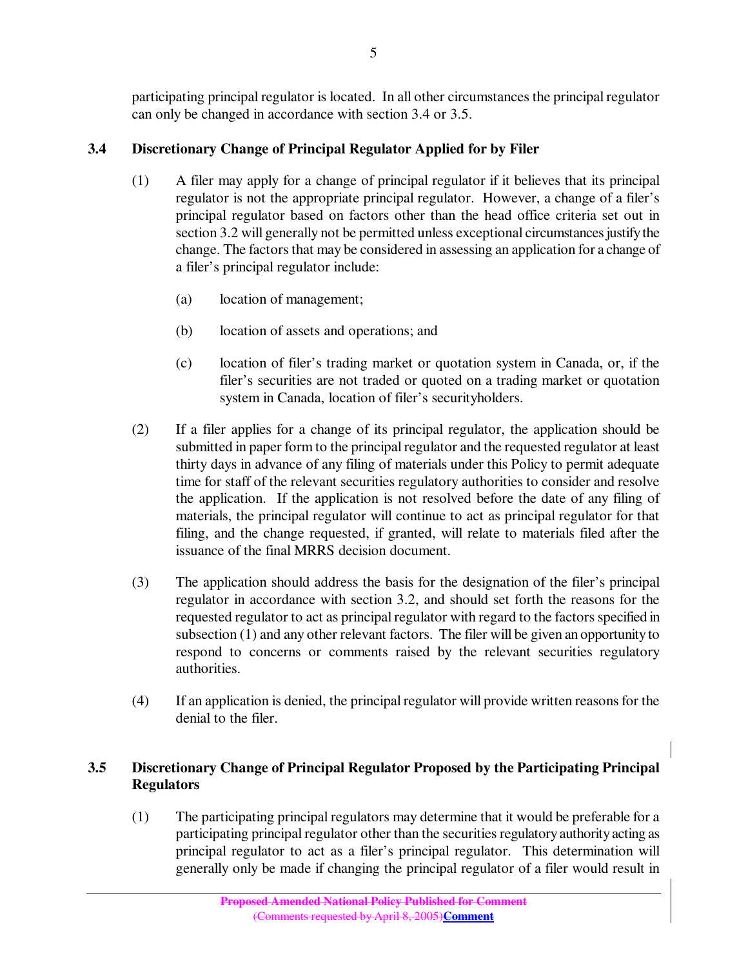participating principal regulator is located. In all other circumstances the principal regulator can only be changed in accordance with section 3.4 or 3.5.

## **3.4 Discretionary Change of Principal Regulator Applied for by Filer**

- (1) A filer may apply for a change of principal regulator if it believes that its principal regulator is not the appropriate principal regulator. However, a change of a filer's principal regulator based on factors other than the head office criteria set out in section 3.2 will generally not be permitted unless exceptional circumstances justify the change. The factors that may be considered in assessing an application for a change of a filer's principal regulator include:
	- (a) location of management;
	- (b) location of assets and operations; and
	- (c) location of filer's trading market or quotation system in Canada, or, if the filer's securities are not traded or quoted on a trading market or quotation system in Canada, location of filer's securityholders.
- (2) If a filer applies for a change of its principal regulator, the application should be submitted in paper form to the principal regulator and the requested regulator at least thirty days in advance of any filing of materials under this Policy to permit adequate time for staff of the relevant securities regulatory authorities to consider and resolve the application. If the application is not resolved before the date of any filing of materials, the principal regulator will continue to act as principal regulator for that filing, and the change requested, if granted, will relate to materials filed after the issuance of the final MRRS decision document.
- (3) The application should address the basis for the designation of the filer's principal regulator in accordance with section 3.2, and should set forth the reasons for the requested regulator to act as principal regulator with regard to the factors specified in subsection (1) and any other relevant factors. The filer will be given an opportunityto respond to concerns or comments raised by the relevant securities regulatory authorities.
- (4) If an application is denied, the principalregulator will provide written reasonsfor the denial to the filer.

## **3.5 Discretionary Change of Principal Regulator Proposed by the Participating Principal Regulators**

(1) The participating principal regulators may determine that it would be preferable for a participating principal regulator other than the securities regulatory authority acting as principal regulator to act as a filer's principal regulator. This determination will generally only be made if changing the principal regulator of a filer would result in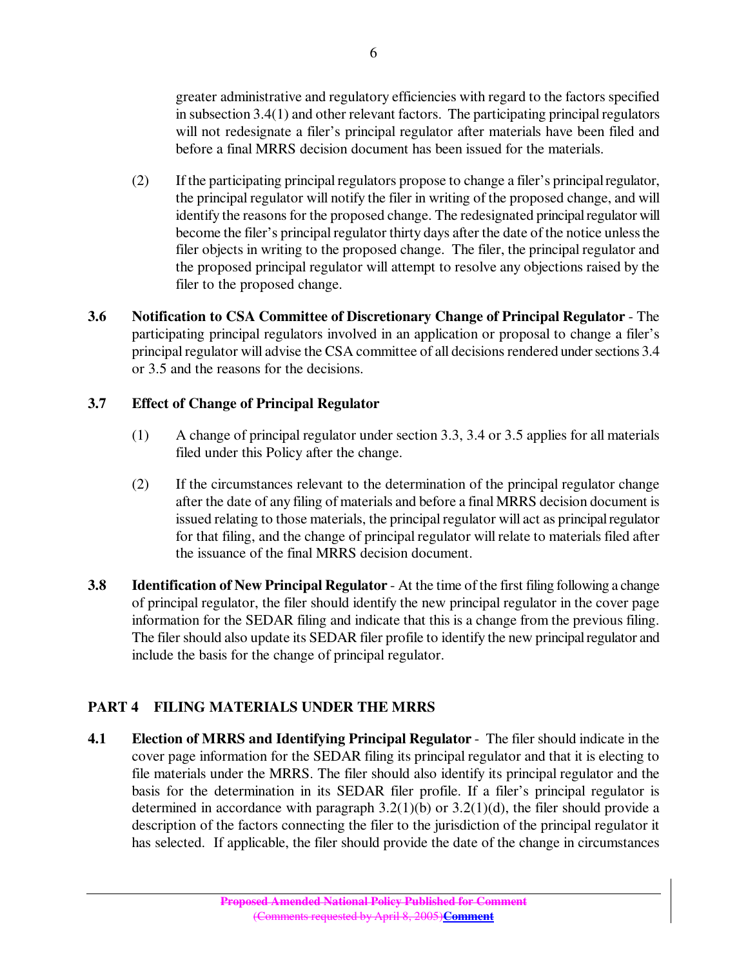greater administrative and regulatory efficiencies with regard to the factors specified in subsection  $3.4(1)$  and other relevant factors. The participating principal regulators will not redesignate a filer's principal regulator after materials have been filed and before a final MRRS decision document has been issued for the materials.

- (2) If the participating principalregulators propose to change a filer's principalregulator, the principal regulator will notify the filer in writing of the proposed change, and will identify the reasons for the proposed change. The redesignated principal regulator will become the filer's principal regulator thirty days after the date of the notice unless the filer objects in writing to the proposed change. The filer, the principal regulator and the proposed principal regulator will attempt to resolve any objections raised by the filer to the proposed change.
- **3.6 Notification to CSA Committee of Discretionary Change of Principal Regulator** The participating principal regulators involved in an application or proposal to change a filer's principal regulator will advise the CSA committee of all decisions rendered under sections 3.4 or 3.5 and the reasons for the decisions.

## **3.7 Effect of Change of Principal Regulator**

- (1) A change of principal regulator under section 3.3, 3.4 or 3.5 applies for all materials filed under this Policy after the change.
- (2) If the circumstances relevant to the determination of the principal regulator change after the date of any filing of materials and before a final MRRS decision document is issued relating to those materials, the principal regulator will act as principal regulator for that filing, and the change of principal regulator will relate to materials filed after the issuance of the final MRRS decision document.
- **3.8 Identification of New Principal Regulator** At the time of the first filing following a change of principal regulator, the filer should identify the new principal regulator in the cover page information for the SEDAR filing and indicate that this is a change from the previous filing. The filer should also update its SEDAR filer profile to identify the new principal regulator and include the basis for the change of principal regulator.

# **PART 4 FILING MATERIALS UNDER THE MRRS**

**4.1 Election of MRRS and Identifying Principal Regulator** - The filer should indicate in the cover page information for the SEDAR filing its principal regulator and that it is electing to file materials under the MRRS. The filer should also identify its principal regulator and the basis for the determination in its SEDAR filer profile. If a filer's principal regulator is determined in accordance with paragraph  $3.2(1)(b)$  or  $3.2(1)(d)$ , the filer should provide a description of the factors connecting the filer to the jurisdiction of the principal regulator it has selected. If applicable, the filer should provide the date of the change in circumstances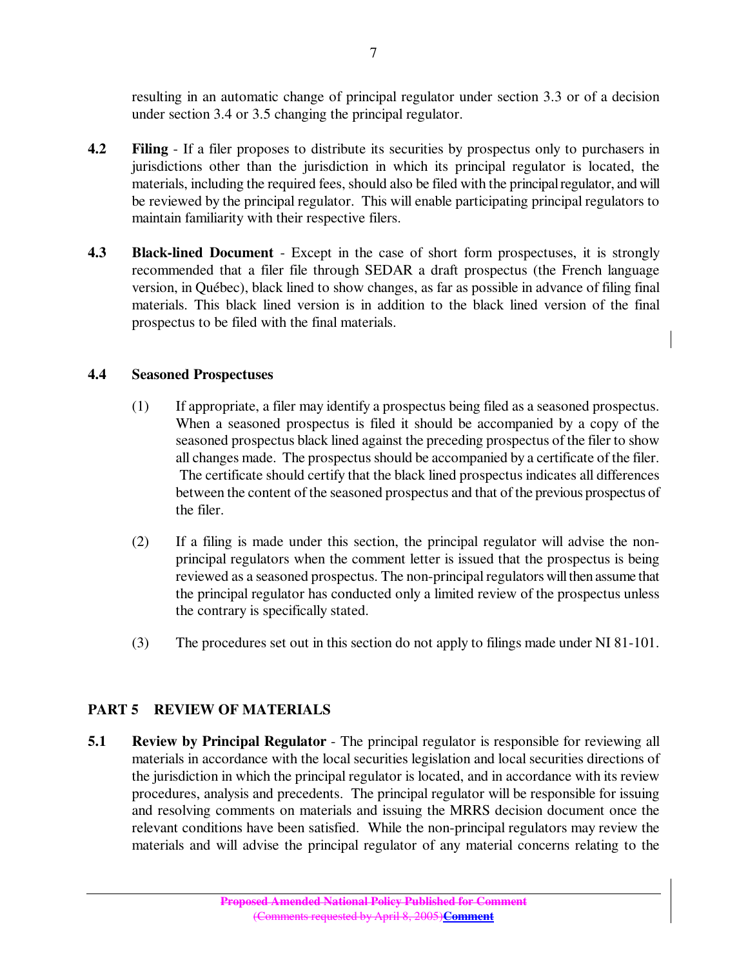resulting in an automatic change of principal regulator under section 3.3 or of a decision under section 3.4 or 3.5 changing the principal regulator.

- **4.2 Filing** If a filer proposes to distribute its securities by prospectus only to purchasers in jurisdictions other than the jurisdiction in which its principal regulator is located, the materials, including the required fees, should also be filed with the principal regulator, and will be reviewed by the principal regulator. This will enable participating principal regulators to maintain familiarity with their respective filers.
- **4.3 Black-lined Document** Except in the case of short form prospectuses, it is strongly recommended that a filer file through SEDAR a draft prospectus (the French language version, in Québec), black lined to show changes, as far as possible in advance of filing final materials. This black lined version is in addition to the black lined version of the final prospectus to be filed with the final materials.

#### **4.4 Seasoned Prospectuses**

- (1) If appropriate, a filer may identify a prospectus being filed as a seasoned prospectus. When a seasoned prospectus is filed it should be accompanied by a copy of the seasoned prospectus black lined against the preceding prospectus of the filer to show all changes made. The prospectusshould be accompanied by a certificate of the filer. The certificate should certify that the black lined prospectus indicates all differences between the content of the seasoned prospectus and that of the previous prospectus of the filer.
- (2) If a filing is made under this section, the principal regulator will advise the nonprincipal regulators when the comment letter is issued that the prospectus is being reviewed as a seasoned prospectus. The non-principal regulators will then assume that the principal regulator has conducted only a limited review of the prospectus unless the contrary is specifically stated.
- (3) The procedures set out in this section do not apply to filings made under NI 81-101.

### **PART 5 REVIEW OF MATERIALS**

**5.1 Review by Principal Regulator** - The principal regulator is responsible for reviewing all materials in accordance with the local securities legislation and local securities directions of the jurisdiction in which the principal regulator is located, and in accordance with its review procedures, analysis and precedents. The principal regulator will be responsible for issuing and resolving comments on materials and issuing the MRRS decision document once the relevant conditions have been satisfied. While the non-principal regulators may review the materials and will advise the principal regulator of any material concerns relating to the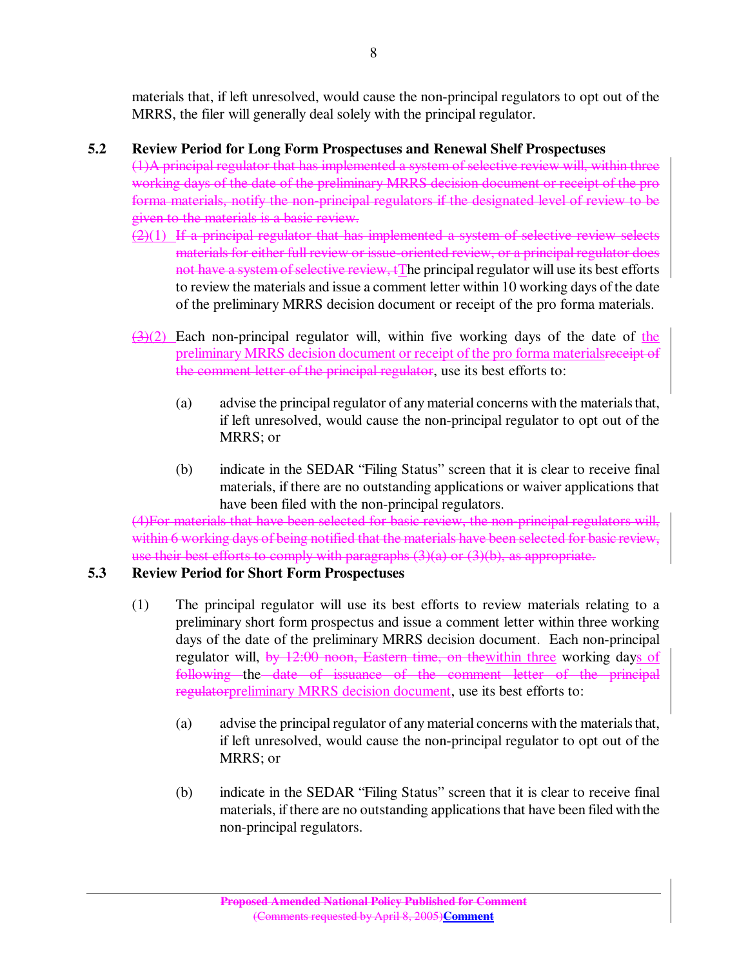materials that, if left unresolved, would cause the non-principal regulators to opt out of the MRRS, the filer will generally deal solely with the principal regulator.

## **5.2 Review Period for Long Form Prospectuses and Renewal Shelf Prospectuses**

(1)A principal regulator that has implemented a system ofselective review will, within three working days of the date of the preliminary MRRS decision document or receipt of the pro forma materials, notify the non-principal regulators if the designated level of review to be given to the materials is a basic review.

- (2)(1) If a principal regulator that has implemented a system of selective review selects materials for either full review or issue-oriented review, or a principal regulator does not have a system of selective review, tThe principal regulator will use its best efforts to review the materials and issue a comment letter within 10 working days of the date of the preliminary MRRS decision document or receipt of the pro forma materials.
- $\left(\frac{3}{2}\right)$  Each non-principal regulator will, within five working days of the date of the preliminary MRRS decision document or receipt of the pro forma materialsreceipt of the comment letter of the principal regulator, use its best efforts to:
	- (a) advise the principal regulator of any material concerns with the materials that, if left unresolved, would cause the non-principal regulator to opt out of the MRRS; or
	- (b) indicate in the SEDAR "Filing Status" screen that it is clear to receive final materials, if there are no outstanding applications or waiver applications that have been filed with the non-principal regulators.

(4)For materials that have been selected for basic review, the non-principal regulators will, within 6 working days of being notified that the materials have been selected for basic review. use their best efforts to comply with paragraphs  $(3)(a)$  or  $(3)(b)$ , as appropriate.

### **5.3 Review Period for Short Form Prospectuses**

- (1) The principal regulator will use its best efforts to review materials relating to a preliminary short form prospectus and issue a comment letter within three working days of the date of the preliminary MRRS decision document. Each non-principal regulator will, by 12:00 noon, Eastern time, on thewithin three working days of following the date of issuance of the comment letter of the principal regulatorpreliminary MRRS decision document, use its best efforts to:
	- (a) advise the principal regulator of any material concerns with the materials that, if left unresolved, would cause the non-principal regulator to opt out of the MRRS; or
	- (b) indicate in the SEDAR "Filing Status" screen that it is clear to receive final materials, if there are no outstanding applications that have been filed with the non-principal regulators.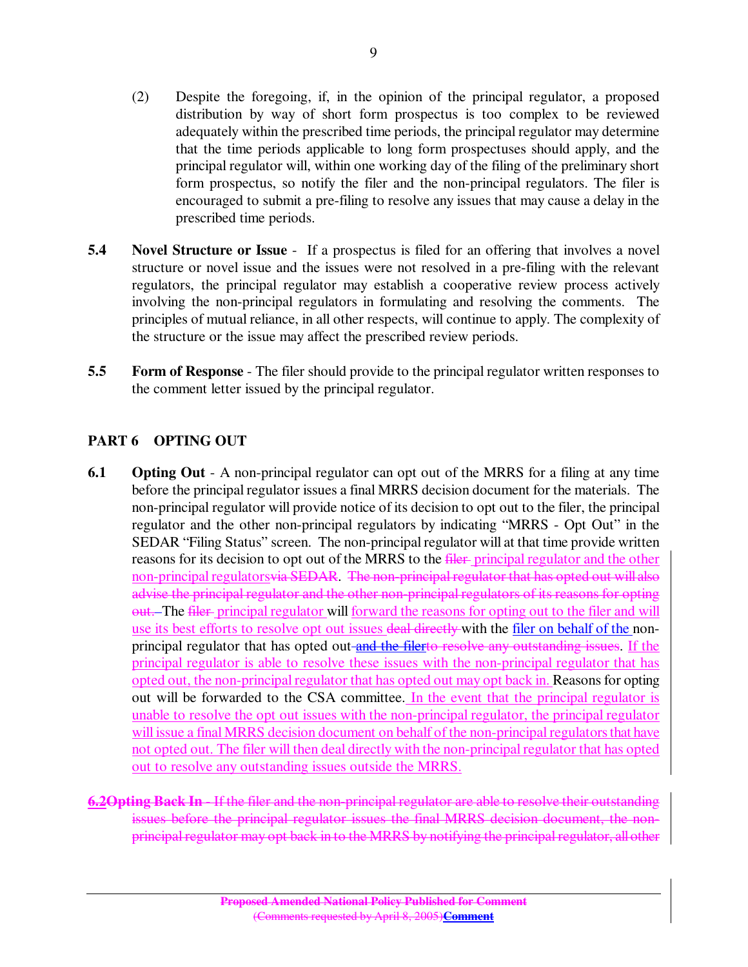- (2) Despite the foregoing, if, in the opinion of the principal regulator, a proposed distribution by way of short form prospectus is too complex to be reviewed adequately within the prescribed time periods, the principal regulator may determine that the time periods applicable to long form prospectuses should apply, and the principal regulator will, within one working day of the filing of the preliminary short form prospectus, so notify the filer and the non-principal regulators. The filer is encouraged to submit a pre-filing to resolve any issues that may cause a delay in the prescribed time periods.
- **5.4 Novel Structure or Issue** If a prospectus is filed for an offering that involves a novel structure or novel issue and the issues were not resolved in a pre-filing with the relevant regulators, the principal regulator may establish a cooperative review process actively involving the non-principal regulators in formulating and resolving the comments. The principles of mutual reliance, in all other respects, will continue to apply. The complexity of the structure or the issue may affect the prescribed review periods.
- **5.5 Form of Response** The filer should provide to the principal regulator written responses to the comment letter issued by the principal regulator.

## **PART 6 OPTING OUT**

- **6.1 Opting Out** A non-principal regulator can opt out of the MRRS for a filing at any time before the principal regulator issues a final MRRS decision document for the materials. The non-principal regulator will provide notice of its decision to opt out to the filer, the principal regulator and the other non-principal regulators by indicating "MRRS - Opt Out" in the SEDAR "Filing Status" screen. The non-principal regulator will at that time provide written reasons for its decision to opt out of the MRRS to the file principal regulator and the other non-principal regulatorsvia SEDAR. The non-principal regulator that has opted out will also advise the principal regulator and the other non-principal regulators of its reasons for opting out. The filer principal regulator will forward the reasons for opting out to the filer and will use its best efforts to resolve opt out issues deal directly-with the filer on behalf of the nonprincipal regulator that has opted out and the filerto resolve any outstanding issues. If the principal regulator is able to resolve these issues with the non-principal regulator that has opted out, the non-principal regulator that has opted out may opt back in. Reasons for opting out will be forwarded to the CSA committee. In the event that the principal regulator is unable to resolve the opt out issues with the non-principal regulator, the principal regulator will issue a final MRRS decision document on behalf of the non-principal regulators that have not opted out. The filer will then deal directly with the non-principal regulator that has opted out to resolve any outstanding issues outside the MRRS.
- **6.2Opting Back In** If the filer and the non-principal regulator are able to resolve their outstanding issues before the principal regulator issues the final MRRS decision document, the nonprincipal regulator may opt back in to the MRRS by notifying the principal regulator, all other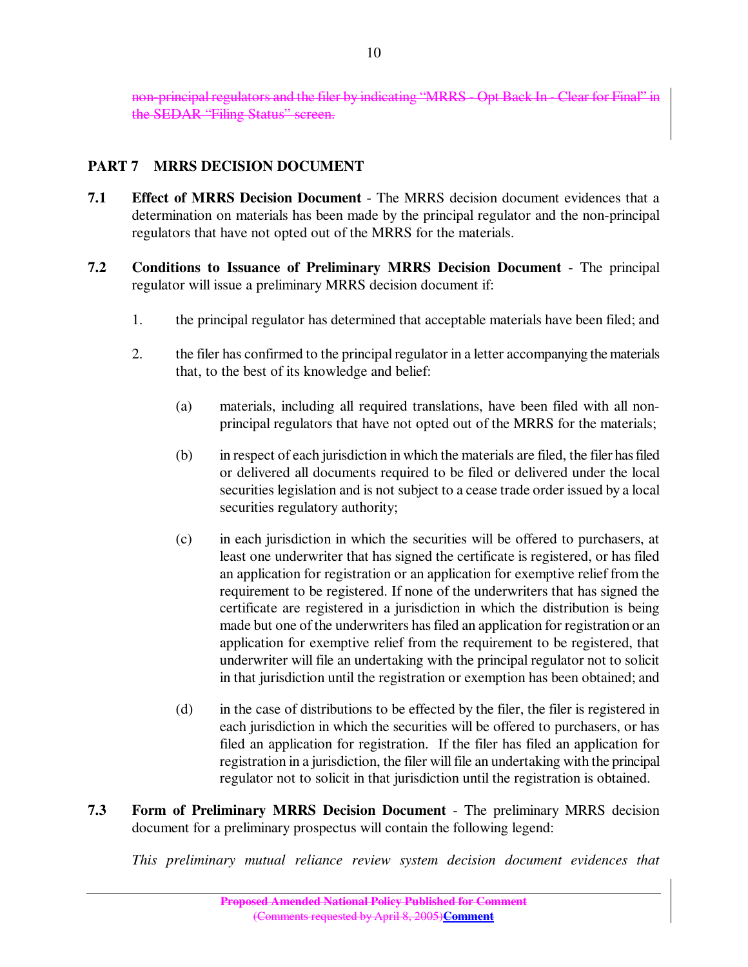non-principalregulators and the filer by indicating "MRRS - Opt Back In - Clear for Final" in the SEDAR "Filing Status" screen.

# **PART 7 MRRS DECISION DOCUMENT**

- **7.1 Effect of MRRS Decision Document** The MRRS decision document evidences that a determination on materials has been made by the principal regulator and the non-principal regulators that have not opted out of the MRRS for the materials.
- **7.2 Conditions to Issuance of Preliminary MRRS Decision Document** The principal regulator will issue a preliminary MRRS decision document if:
	- 1. the principal regulator has determined that acceptable materials have been filed; and
	- 2. the filer has confirmed to the principal regulator in a letter accompanying the materials that, to the best of its knowledge and belief:
		- (a) materials, including all required translations, have been filed with all nonprincipal regulators that have not opted out of the MRRS for the materials;
		- (b) in respect of each jurisdiction in which the materials are filed, the filer hasfiled or delivered all documents required to be filed or delivered under the local securities legislation and is not subject to a cease trade order issued by a local securities regulatory authority;
		- (c) in each jurisdiction in which the securities will be offered to purchasers, at least one underwriter that has signed the certificate is registered, or has filed an application for registration or an application for exemptive relief from the requirement to be registered. If none of the underwriters that has signed the certificate are registered in a jurisdiction in which the distribution is being made but one of the underwriters has filed an application for registration or an application for exemptive relief from the requirement to be registered, that underwriter will file an undertaking with the principal regulator not to solicit in that jurisdiction until the registration or exemption has been obtained; and
		- (d) in the case of distributions to be effected by the filer, the filer is registered in each jurisdiction in which the securities will be offered to purchasers, or has filed an application for registration. If the filer has filed an application for registration in a jurisdiction, the filer willfile an undertaking with the principal regulator not to solicit in that jurisdiction until the registration is obtained.
- **7.3 Form of Preliminary MRRS Decision Document** The preliminary MRRS decision document for a preliminary prospectus will contain the following legend:

*This preliminary mutual reliance review system decision document evidences that*

10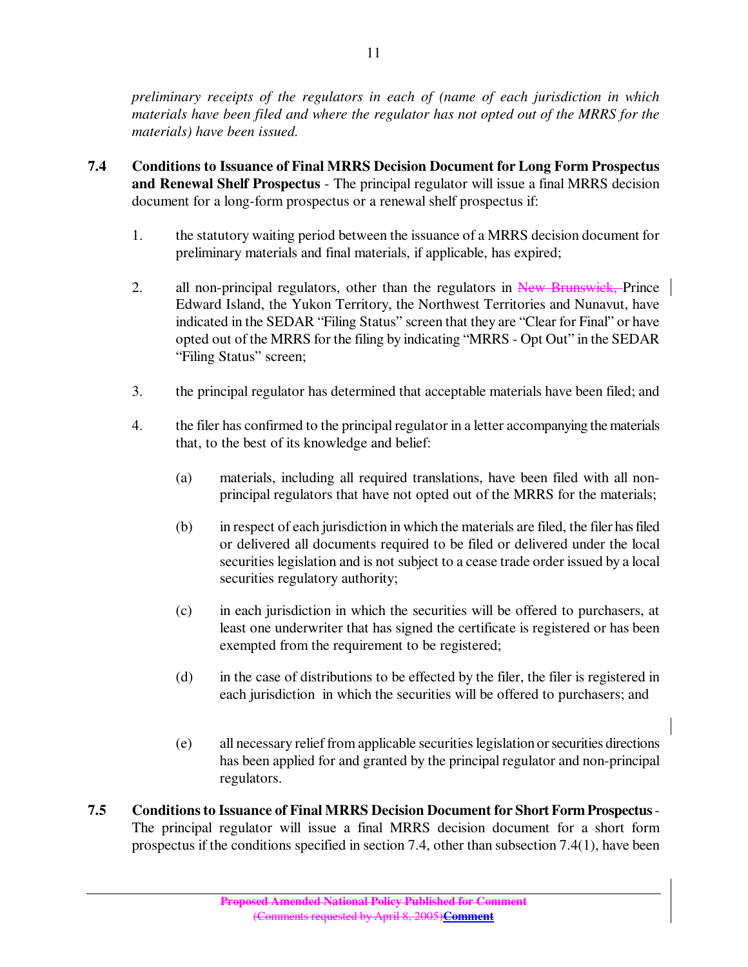*preliminary receipts of the regulators in each of (name of each jurisdiction in which materials have been filed and where the regulator has not opted out of the MRRS for the materials) have been issued.*

- **7.4 Conditions to Issuance of Final MRRS Decision Document for Long Form Prospectus and Renewal Shelf Prospectus** - The principal regulator will issue a final MRRS decision document for a long-form prospectus or a renewal shelf prospectus if:
	- 1. the statutory waiting period between the issuance of a MRRS decision document for preliminary materials and final materials, if applicable, has expired;
	- 2. all non-principal regulators, other than the regulators in New Brunswick, Prince Edward Island, the Yukon Territory, the Northwest Territories and Nunavut, have indicated in the SEDAR "Filing Status" screen that they are "Clear for Final" or have opted out of the MRRS for the filing by indicating "MRRS - Opt Out" in the SEDAR "Filing Status" screen;
	- 3. the principal regulator has determined that acceptable materials have been filed; and
	- 4. the filer has confirmed to the principal regulator in a letter accompanying the materials that, to the best of its knowledge and belief:
		- (a) materials, including all required translations, have been filed with all nonprincipal regulators that have not opted out of the MRRS for the materials;
		- (b) in respect of each jurisdiction in which the materials are filed, the filer hasfiled or delivered all documents required to be filed or delivered under the local securities legislation and is not subject to a cease trade order issued by a local securities regulatory authority;
		- (c) in each jurisdiction in which the securities will be offered to purchasers, at least one underwriter that has signed the certificate is registered or has been exempted from the requirement to be registered;
		- (d) in the case of distributions to be effected by the filer, the filer is registered in each jurisdiction in which the securities will be offered to purchasers; and
		- (e) all necessary relief from applicable securitieslegislation orsecurities directions has been applied for and granted by the principal regulator and non-principal regulators.
- **7.5 Conditionsto Issuance of Final MRRS Decision Document for Short Form Prospectus**-The principal regulator will issue a final MRRS decision document for a short form prospectus if the conditions specified in section 7.4, other than subsection 7.4(1), have been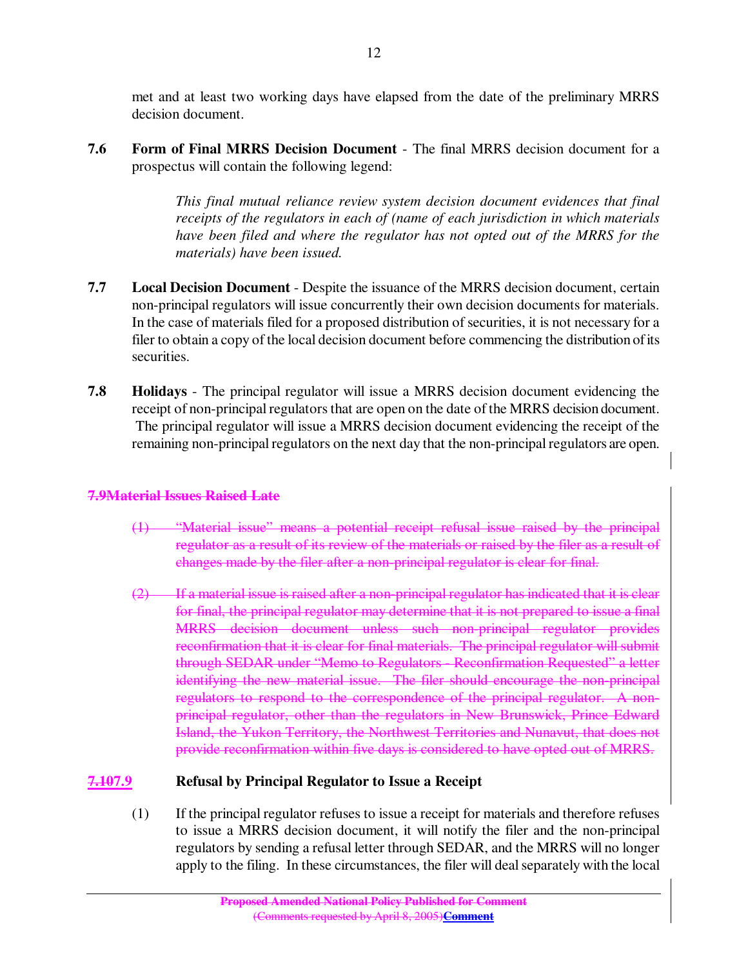met and at least two working days have elapsed from the date of the preliminary MRRS decision document.

**7.6 Form of Final MRRS Decision Document** - The final MRRS decision document for a prospectus will contain the following legend:

> *This final mutual reliance review system decision document evidences that final receipts of the regulators in each of (name of each jurisdiction in which materials have been filed and where the regulator has not opted out of the MRRS for the materials) have been issued.*

- **7.7 Local Decision Document** Despite the issuance of the MRRS decision document, certain non-principal regulators will issue concurrently their own decision documents for materials. In the case of materials filed for a proposed distribution of securities, it is not necessary for a filer to obtain a copy of the local decision document before commencing the distribution of its securities.
- **7.8 Holidays** The principal regulator will issue a MRRS decision document evidencing the receipt of non-principal regulators that are open on the date of the MRRS decision document. The principal regulator will issue a MRRS decision document evidencing the receipt of the remaining non-principal regulators on the next day that the non-principal regulators are open.

#### **7.9Material Issues Raised Late**

- (1) "Material issue" means a potential receipt refusal issue raised by the principal regulator as a result of its review of the materials or raised by the filer as a result of changes made by the filer after a non-principal regulator is clear for final.
- (2) If a material issue is raised after a non-principal regulator has indicated that it is clear for final, the principal regulator may determine that it is not prepared to issue a final MRRS decision document unless such non-principal regulator provides reconfirmation that it is clear for final materials. The principal regulator will submit through SEDAR under "Memo to Regulators - Reconfirmation Requested" a letter identifying the new material issue. The filer should encourage the non-principal regulators to respond to the correspondence of the principal regulator. A nonprincipal regulator, other than the regulators in New Brunswick, Prince Edward Island, the Yukon Territory, the Northwest Territories and Nunavut, that does not provide reconfirmation within five days is considered to have opted out of MRRS.

### **7.107.9 Refusal by Principal Regulator to Issue a Receipt**

(1) If the principal regulator refuses to issue a receipt for materials and therefore refuses to issue a MRRS decision document, it will notify the filer and the non-principal regulators by sending a refusal letter through SEDAR, and the MRRS will no longer apply to the filing. In these circumstances, the filer will dealseparately with the local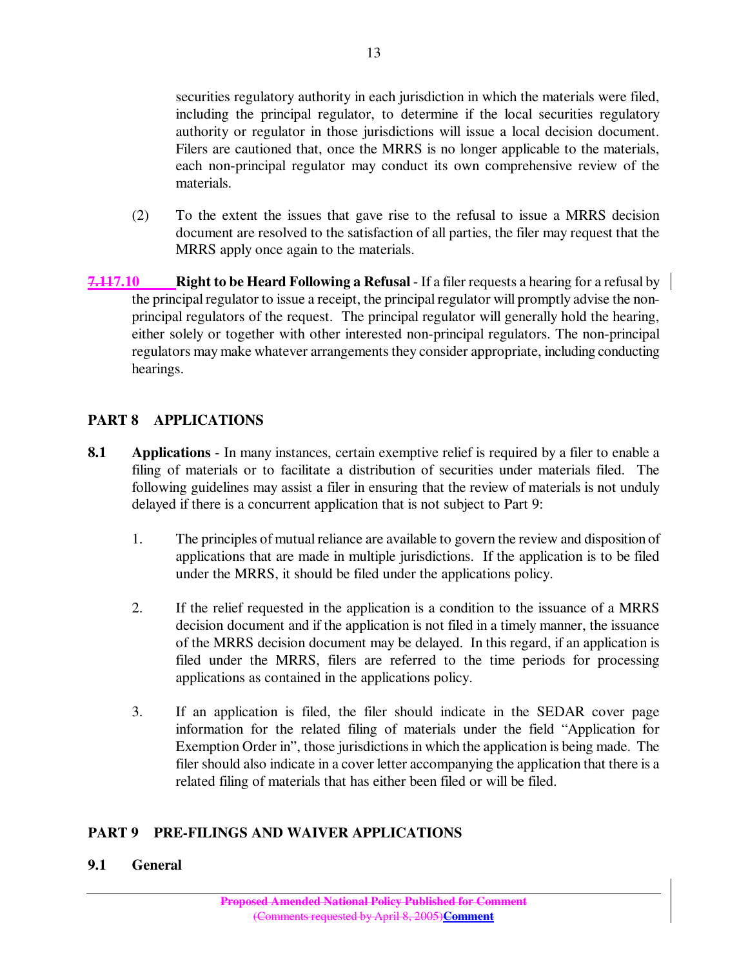securities regulatory authority in each jurisdiction in which the materials were filed, including the principal regulator, to determine if the local securities regulatory authority or regulator in those jurisdictions will issue a local decision document. Filers are cautioned that, once the MRRS is no longer applicable to the materials, each non-principal regulator may conduct its own comprehensive review of the materials.

- (2) To the extent the issues that gave rise to the refusal to issue a MRRS decision document are resolved to the satisfaction of all parties, the filer may request that the MRRS apply once again to the materials.
- **7.117.10 Right to be Heard Following a Refusal** If a filer requests a hearing for a refusal by the principal regulator to issue a receipt, the principal regulator will promptly advise the nonprincipal regulators of the request. The principal regulator will generally hold the hearing, either solely or together with other interested non-principal regulators. The non-principal regulators may make whatever arrangements they consider appropriate, including conducting hearings.

## **PART 8 APPLICATIONS**

- **8.1 Applications** In many instances, certain exemptive relief is required by a filer to enable a filing of materials or to facilitate a distribution of securities under materials filed. The following guidelines may assist a filer in ensuring that the review of materials is not unduly delayed if there is a concurrent application that is not subject to Part 9:
	- 1. The principles of mutual reliance are available to govern the review and disposition of applications that are made in multiple jurisdictions. If the application is to be filed under the MRRS, it should be filed under the applications policy.
	- 2. If the relief requested in the application is a condition to the issuance of a MRRS decision document and if the application is not filed in a timely manner, the issuance of the MRRS decision document may be delayed. In this regard, if an application is filed under the MRRS, filers are referred to the time periods for processing applications as contained in the applications policy.
	- 3. If an application is filed, the filer should indicate in the SEDAR cover page information for the related filing of materials under the field "Application for Exemption Order in", those jurisdictions in which the application is being made. The filer should also indicate in a cover letter accompanying the application that there is a related filing of materials that has either been filed or will be filed.

### **PART 9 PRE-FILINGS AND WAIVER APPLICATIONS**

#### **9.1 General**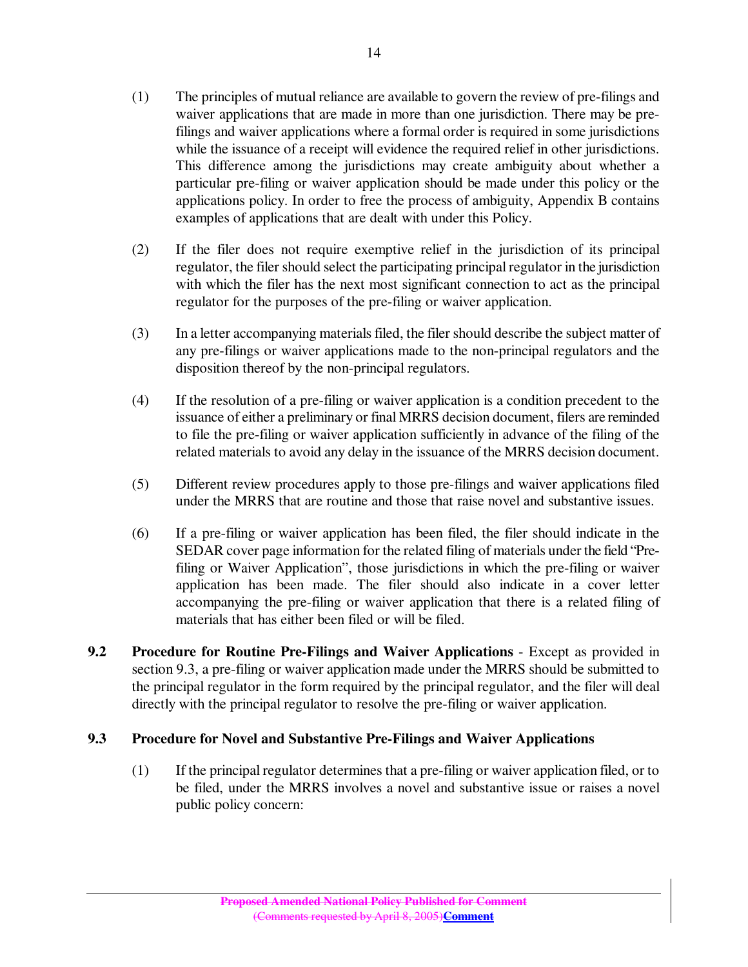- (1) The principles of mutual reliance are available to govern the review of pre-filings and waiver applications that are made in more than one jurisdiction. There may be prefilings and waiver applications where a formal order is required in some jurisdictions while the issuance of a receipt will evidence the required relief in other jurisdictions. This difference among the jurisdictions may create ambiguity about whether a particular pre-filing or waiver application should be made under this policy or the applications policy. In order to free the process of ambiguity, Appendix B contains examples of applications that are dealt with under this Policy.
- (2) If the filer does not require exemptive relief in the jurisdiction of its principal regulator, the filer should select the participating principal regulator in the jurisdiction with which the filer has the next most significant connection to act as the principal regulator for the purposes of the pre-filing or waiver application.
- (3) In a letter accompanying materialsfiled, the filer should describe the subject matter of any pre-filings or waiver applications made to the non-principal regulators and the disposition thereof by the non-principal regulators.
- (4) If the resolution of a pre-filing or waiver application is a condition precedent to the issuance of either a preliminary or final MRRS decision document, filers are reminded to file the pre-filing or waiver application sufficiently in advance of the filing of the related materials to avoid any delay in the issuance of the MRRS decision document.
- (5) Different review procedures apply to those pre-filings and waiver applications filed under the MRRS that are routine and those that raise novel and substantive issues.
- (6) If a pre-filing or waiver application has been filed, the filer should indicate in the SEDAR cover page information for the related filing of materials under the field "Prefiling or Waiver Application", those jurisdictions in which the pre-filing or waiver application has been made. The filer should also indicate in a cover letter accompanying the pre-filing or waiver application that there is a related filing of materials that has either been filed or will be filed.
- **9.2 Procedure for Routine Pre-Filings and Waiver Applications** Except as provided in section 9.3, a pre-filing or waiver application made under the MRRS should be submitted to the principal regulator in the form required by the principal regulator, and the filer will deal directly with the principal regulator to resolve the pre-filing or waiver application.

### **9.3 Procedure for Novel and Substantive Pre-Filings and Waiver Applications**

(1) If the principal regulator determines that a pre-filing or waiver application filed, or to be filed, under the MRRS involves a novel and substantive issue or raises a novel public policy concern: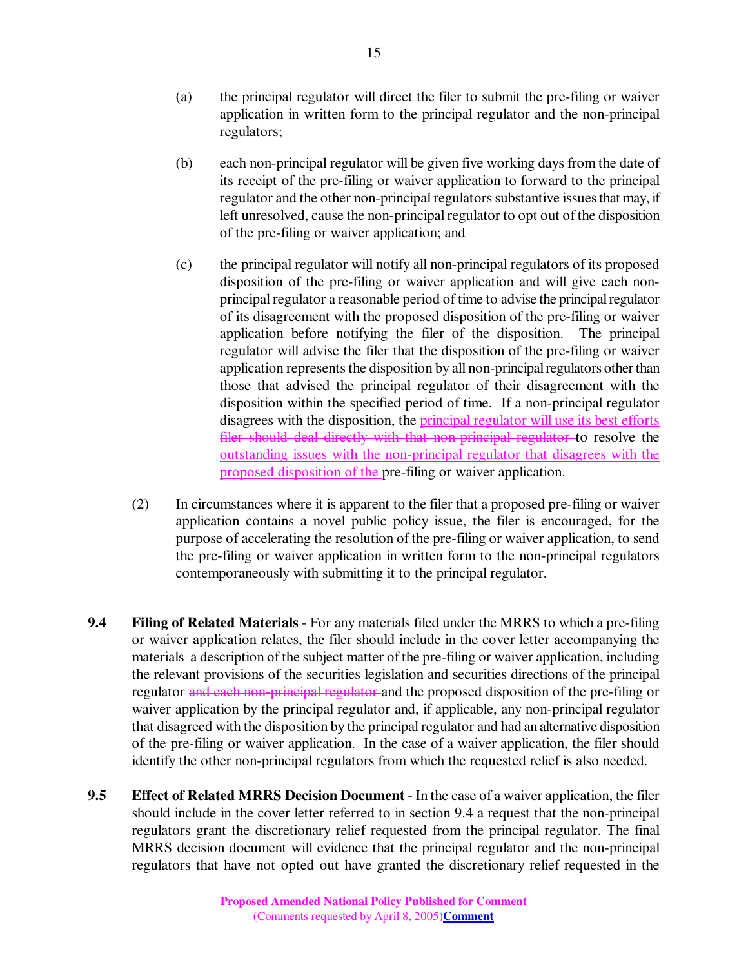- (a) the principal regulator will direct the filer to submit the pre-filing or waiver application in written form to the principal regulator and the non-principal regulators;
- (b) each non-principal regulator will be given five working days from the date of its receipt of the pre-filing or waiver application to forward to the principal regulator and the other non-principal regulators substantive issues that may, if left unresolved, cause the non-principal regulator to opt out of the disposition of the pre-filing or waiver application; and
- (c) the principal regulator will notify all non-principal regulators of its proposed disposition of the pre-filing or waiver application and will give each nonprincipal regulator a reasonable period of time to advise the principal regulator of its disagreement with the proposed disposition of the pre-filing or waiver application before notifying the filer of the disposition. The principal regulator will advise the filer that the disposition of the pre-filing or waiver application represents the disposition by all non-principal regulators other than those that advised the principal regulator of their disagreement with the disposition within the specified period of time. If a non-principal regulator disagrees with the disposition, the principal regulator will use its best efforts filer should deal directly with that non-principal regulator to resolve the outstanding issues with the non-principal regulator that disagrees with the proposed disposition of the pre-filing or waiver application.
- (2) In circumstances where it is apparent to the filer that a proposed pre-filing or waiver application contains a novel public policy issue, the filer is encouraged, for the purpose of accelerating the resolution of the pre-filing or waiver application, to send the pre-filing or waiver application in written form to the non-principal regulators contemporaneously with submitting it to the principal regulator.
- **9.4 Filing of Related Materials** For any materials filed under the MRRS to which a pre-filing or waiver application relates, the filer should include in the cover letter accompanying the materials a description of the subject matter of the pre-filing or waiver application, including the relevant provisions of the securities legislation and securities directions of the principal regulator and each non-principal regulator and the proposed disposition of the pre-filing or waiver application by the principal regulator and, if applicable, any non-principal regulator that disagreed with the disposition by the principal regulator and had an alternative disposition of the pre-filing or waiver application. In the case of a waiver application, the filer should identify the other non-principal regulators from which the requested relief is also needed.
- **9.5 Effect of Related MRRS Decision Document** In the case of a waiver application, the filer should include in the cover letter referred to in section 9.4 a request that the non-principal regulators grant the discretionary relief requested from the principal regulator. The final MRRS decision document will evidence that the principal regulator and the non-principal regulators that have not opted out have granted the discretionary relief requested in the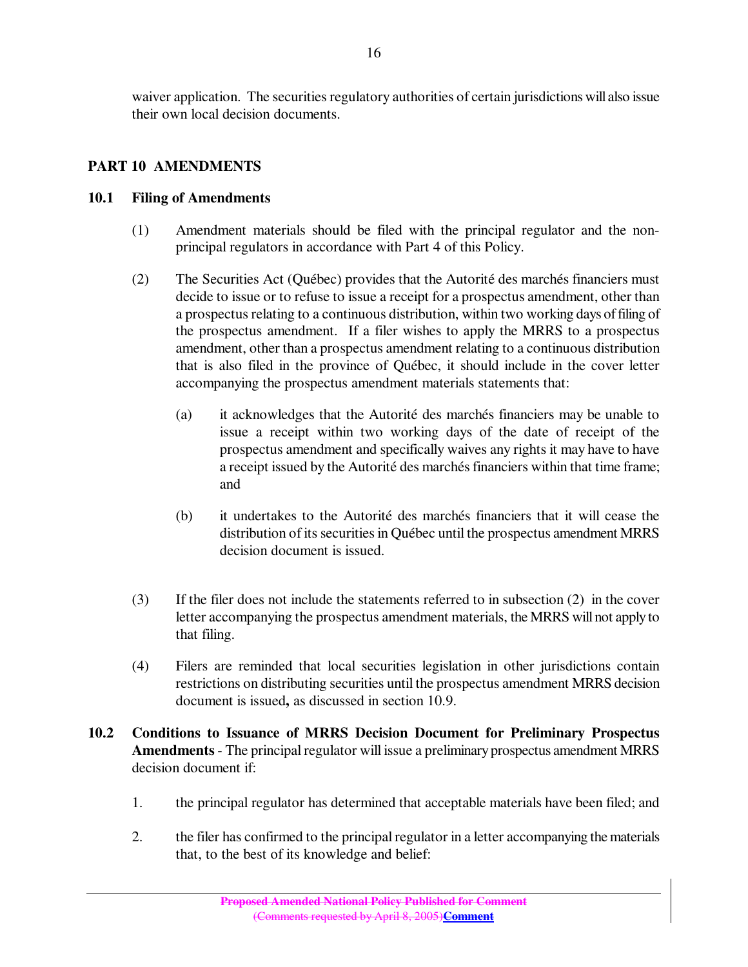waiver application. The securities regulatory authorities of certain jurisdictions will also issue their own local decision documents.

## **PART 10 AMENDMENTS**

#### **10.1 Filing of Amendments**

- (1) Amendment materials should be filed with the principal regulator and the nonprincipal regulators in accordance with Part 4 of this Policy.
- (2) The Securities Act (Québec) provides that the Autorité des marchés financiers must decide to issue or to refuse to issue a receipt for a prospectus amendment, other than a prospectus relating to a continuous distribution, within two working days of filing of the prospectus amendment. If a filer wishes to apply the MRRS to a prospectus amendment, other than a prospectus amendment relating to a continuous distribution that is also filed in the province of Québec, it should include in the cover letter accompanying the prospectus amendment materials statements that:
	- (a) it acknowledges that the Autorité des marchés financiers may be unable to issue a receipt within two working days of the date of receipt of the prospectus amendment and specifically waives any rights it may have to have a receipt issued by the Autorité des marchés financiers within that time frame; and
	- (b) it undertakes to the Autorité des marchés financiers that it will cease the distribution of its securities in Québec until the prospectus amendment MRRS decision document is issued.
- (3) If the filer does not include the statements referred to in subsection (2) in the cover letter accompanying the prospectus amendment materials, the MRRS will not apply to that filing.
- (4) Filers are reminded that local securities legislation in other jurisdictions contain restrictions on distributing securities until the prospectus amendment MRRS decision document is issued**,** as discussed in section 10.9.
- **10.2 Conditions to Issuance of MRRS Decision Document for Preliminary Prospectus** Amendments - The principal regulator will issue a preliminary prospectus amendment MRRS decision document if:
	- 1. the principal regulator has determined that acceptable materials have been filed; and
	- 2. the filer has confirmed to the principal regulator in a letter accompanying the materials that, to the best of its knowledge and belief: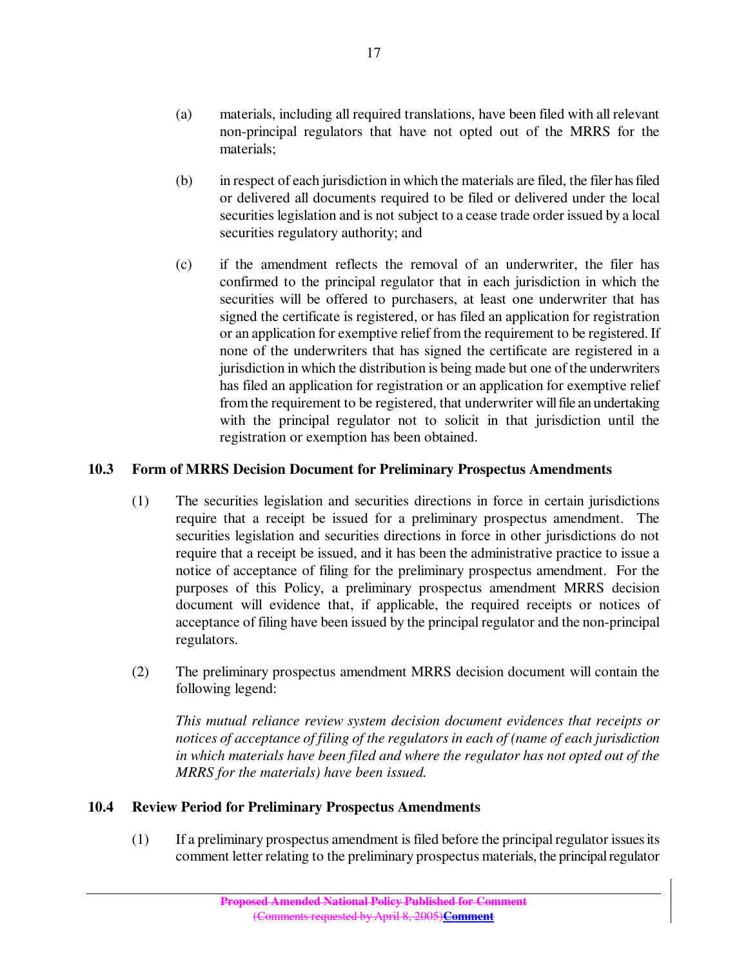- (a) materials, including all required translations, have been filed with all relevant non-principal regulators that have not opted out of the MRRS for the materials;
- (b) in respect of each jurisdiction in which the materials are filed, the filer hasfiled or delivered all documents required to be filed or delivered under the local securities legislation and is not subject to a cease trade order issued by a local securities regulatory authority; and
- (c) if the amendment reflects the removal of an underwriter, the filer has confirmed to the principal regulator that in each jurisdiction in which the securities will be offered to purchasers, at least one underwriter that has signed the certificate is registered, or has filed an application for registration or an application for exemptive relief from the requirement to be registered. If none of the underwriters that has signed the certificate are registered in a jurisdiction in which the distribution is being made but one of the underwriters has filed an application for registration or an application for exemptive relief from the requirement to be registered, that underwriter willfile an undertaking with the principal regulator not to solicit in that jurisdiction until the registration or exemption has been obtained.

### **10.3 Form of MRRS Decision Document for Preliminary Prospectus Amendments**

- (1) The securities legislation and securities directions in force in certain jurisdictions require that a receipt be issued for a preliminary prospectus amendment. The securities legislation and securities directions in force in other jurisdictions do not require that a receipt be issued, and it has been the administrative practice to issue a notice of acceptance of filing for the preliminary prospectus amendment. For the purposes of this Policy, a preliminary prospectus amendment MRRS decision document will evidence that, if applicable, the required receipts or notices of acceptance of filing have been issued by the principal regulator and the non-principal regulators.
- (2) The preliminary prospectus amendment MRRS decision document will contain the following legend:

*This mutual reliance review system decision document evidences that receipts or notices of acceptance of filing of the regulatorsin each of (name of each jurisdiction in which materials have been filed and where the regulator has not opted out of the MRRS for the materials) have been issued.*

### **10.4 Review Period for Preliminary Prospectus Amendments**

(1) If a preliminary prospectus amendment isfiled before the principalregulator issuesits comment letter relating to the preliminary prospectus materials, the principal regulator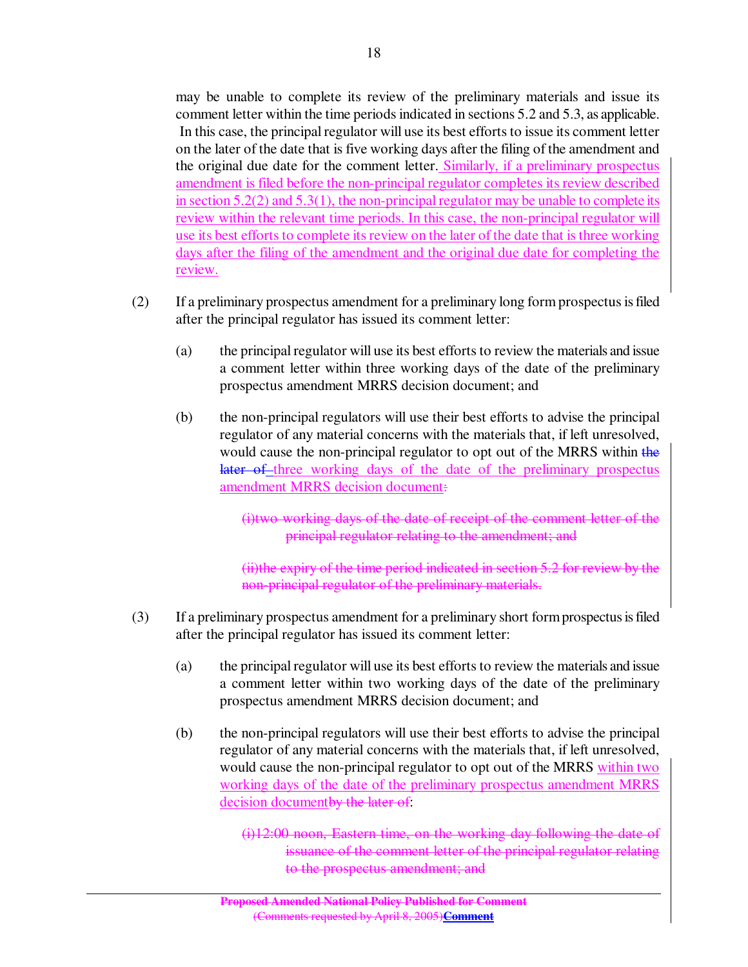may be unable to complete its review of the preliminary materials and issue its comment letter within the time periodsindicated in sections 5.2 and 5.3, as applicable. In this case, the principal regulator will use its best efforts to issue its comment letter on the later of the date that is five working days after the filing of the amendment and the original due date for the comment letter. Similarly, if a preliminary prospectus amendment is filed before the non-principal regulator completes its review described in section  $5.2(2)$  and  $5.3(1)$ , the non-principal regulator may be unable to complete its review within the relevant time periods. In this case, the non-principal regulator will use its best efforts to complete its review on the later of the date that is three working days after the filing of the amendment and the original due date for completing the review.

- (2) If a preliminary prospectus amendment for a preliminary long form prospectusisfiled after the principal regulator has issued its comment letter:
	- (a) the principal regulator will use its best efforts to review the materials and issue a comment letter within three working days of the date of the preliminary prospectus amendment MRRS decision document; and
	- (b) the non-principal regulators will use their best efforts to advise the principal regulator of any material concerns with the materials that, if left unresolved, would cause the non-principal regulator to opt out of the MRRS within the later of three working days of the date of the preliminary prospectus amendment MRRS decision document:

(i)two working days of the date of receipt of the comment letter of the principal regulator relating to the amendment; and

(ii)the expiry of the time period indicated in section 5.2 for review by the non-principal regulator of the preliminary materials.

- (3) If a preliminary prospectus amendment for a preliminary short formprospectusisfiled after the principal regulator has issued its comment letter:
	- (a) the principal regulator will use its best efforts to review the materials and issue a comment letter within two working days of the date of the preliminary prospectus amendment MRRS decision document; and
	- (b) the non-principal regulators will use their best efforts to advise the principal regulator of any material concerns with the materials that, if left unresolved, would cause the non-principal regulator to opt out of the MRRS within two working days of the date of the preliminary prospectus amendment MRRS decision document<del>by the later of</del>:

(i)12:00 noon, Eastern time, on the working day following the date of issuance of the comment letter of the principal regulator relating to the prospectus amendment; and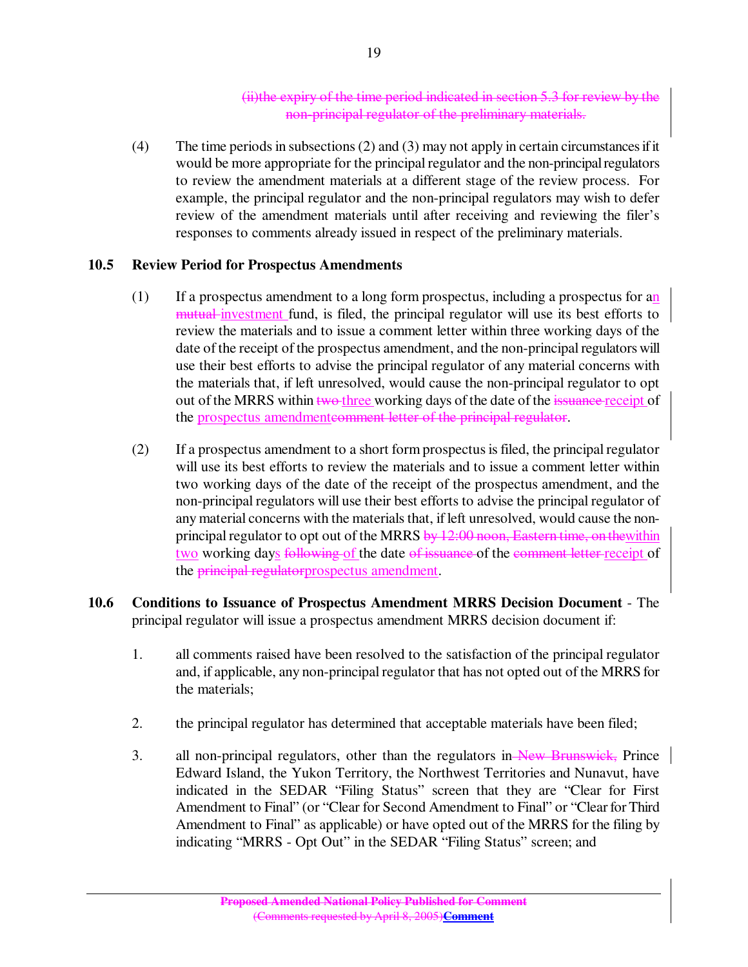#### (ii)the expiry of the time period indicated in section 5.3 for review by the non-principal regulator of the preliminary materials.

(4) The time periods in subsections (2) and (3) may not apply in certain circumstances if it would be more appropriate for the principal regulator and the non-principal regulators to review the amendment materials at a different stage of the review process. For example, the principal regulator and the non-principal regulators may wish to defer review of the amendment materials until after receiving and reviewing the filer's responses to comments already issued in respect of the preliminary materials.

### **10.5 Review Period for Prospectus Amendments**

- (1) If a prospectus amendment to a long form prospectus, including a prospectus for an mutual investment fund, is filed, the principal regulator will use its best efforts to review the materials and to issue a comment letter within three working days of the date of the receipt of the prospectus amendment, and the non-principalregulators will use their best efforts to advise the principal regulator of any material concerns with the materials that, if left unresolved, would cause the non-principal regulator to opt out of the MRRS within two-three working days of the date of the issuance-receipt of the prospectus amendmenteomment letter of the principal regulator.
- (2) If a prospectus amendment to a short form prospectusisfiled, the principalregulator will use its best efforts to review the materials and to issue a comment letter within two working days of the date of the receipt of the prospectus amendment, and the non-principal regulators will use their best efforts to advise the principal regulator of any material concerns with the materials that, if left unresolved, would cause the nonprincipal regulator to opt out of the MRRS by 12:00 noon, Eastern time, on the within two working days following of the date of issuance of the comment letter receipt of the principal regulatorprospectus amendment.
- **10.6 Conditions to Issuance of Prospectus Amendment MRRS Decision Document** The principal regulator will issue a prospectus amendment MRRS decision document if:
	- 1. all comments raised have been resolved to the satisfaction of the principal regulator and, if applicable, any non-principalregulator that has not opted out of the MRRS for the materials;
	- 2. the principal regulator has determined that acceptable materials have been filed;
	- 3. all non-principal regulators, other than the regulators in New Brunswick, Prince Edward Island, the Yukon Territory, the Northwest Territories and Nunavut, have indicated in the SEDAR "Filing Status" screen that they are "Clear for First Amendment to Final" (or "Clear for Second Amendment to Final" or "Clear for Third Amendment to Final" as applicable) or have opted out of the MRRS for the filing by indicating "MRRS - Opt Out" in the SEDAR "Filing Status" screen; and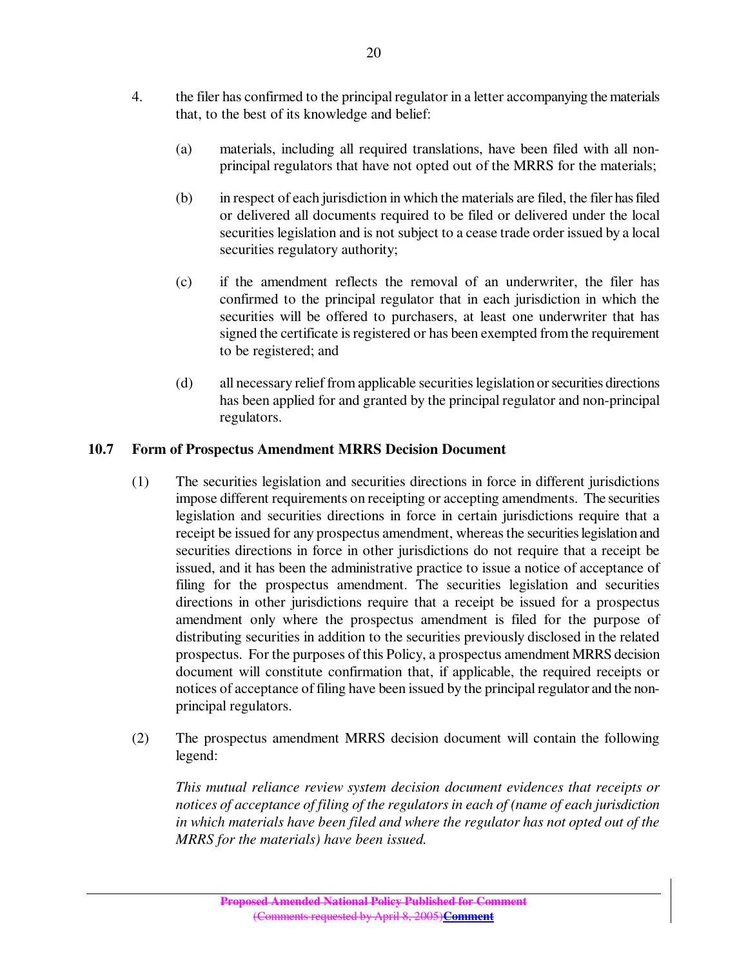- 4. the filer has confirmed to the principal regulator in a letter accompanying the materials that, to the best of its knowledge and belief:
	- (a) materials, including all required translations, have been filed with all nonprincipal regulators that have not opted out of the MRRS for the materials;
	- (b) in respect of each jurisdiction in which the materials are filed, the filer hasfiled or delivered all documents required to be filed or delivered under the local securities legislation and is not subject to a cease trade order issued by a local securities regulatory authority;
	- (c) if the amendment reflects the removal of an underwriter, the filer has confirmed to the principal regulator that in each jurisdiction in which the securities will be offered to purchasers, at least one underwriter that has signed the certificate is registered or has been exempted from the requirement to be registered; and
	- (d) all necessary relief from applicable securities legislation or securities directions has been applied for and granted by the principal regulator and non-principal regulators.

## **10.7 Form of Prospectus Amendment MRRS Decision Document**

- (1) The securities legislation and securities directions in force in different jurisdictions impose different requirements on receipting or accepting amendments. The securities legislation and securities directions in force in certain jurisdictions require that a receipt be issued for any prospectus amendment, whereasthe securitieslegislation and securities directions in force in other jurisdictions do not require that a receipt be issued, and it has been the administrative practice to issue a notice of acceptance of filing for the prospectus amendment. The securities legislation and securities directions in other jurisdictions require that a receipt be issued for a prospectus amendment only where the prospectus amendment is filed for the purpose of distributing securities in addition to the securities previously disclosed in the related prospectus. For the purposes of this Policy, a prospectus amendment MRRS decision document will constitute confirmation that, if applicable, the required receipts or notices of acceptance of filing have been issued by the principal regulator and the nonprincipal regulators.
- (2) The prospectus amendment MRRS decision document will contain the following legend:

*This mutual reliance review system decision document evidences that receipts or notices of acceptance of filing of the regulatorsin each of (name of each jurisdiction in which materials have been filed and where the regulator has not opted out of the MRRS for the materials) have been issued.*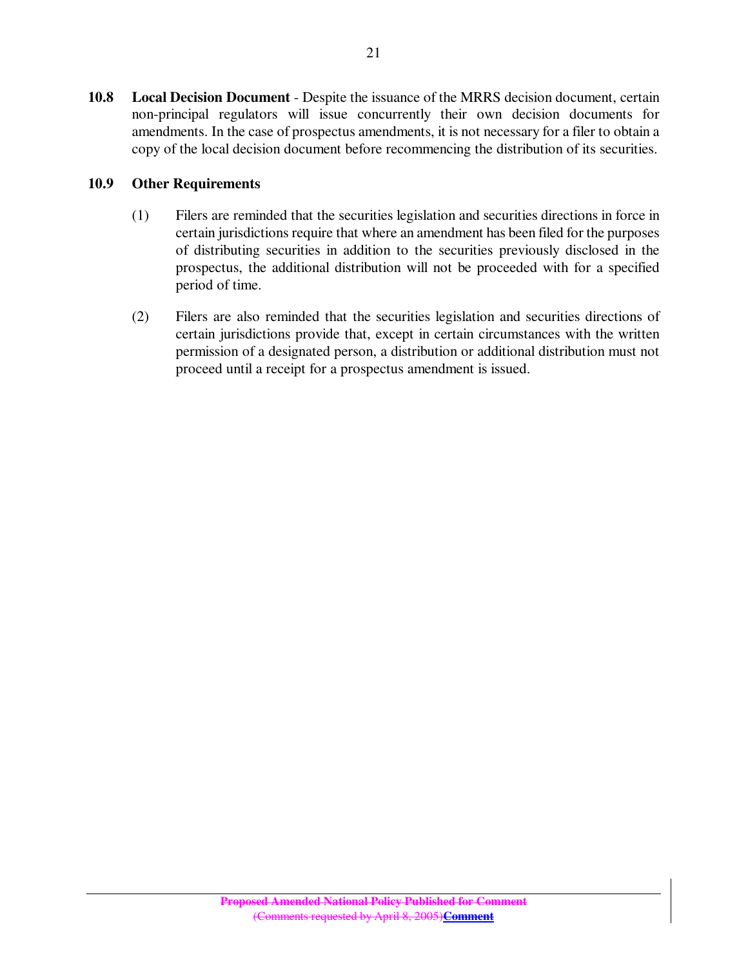**10.8 Local Decision Document** - Despite the issuance of the MRRS decision document, certain non-principal regulators will issue concurrently their own decision documents for amendments. In the case of prospectus amendments, it is not necessary for a filer to obtain a copy of the local decision document before recommencing the distribution of its securities.

## **10.9 Other Requirements**

- (1) Filers are reminded that the securities legislation and securities directions in force in certain jurisdictions require that where an amendment has been filed for the purposes of distributing securities in addition to the securities previously disclosed in the prospectus, the additional distribution will not be proceeded with for a specified period of time.
- (2) Filers are also reminded that the securities legislation and securities directions of certain jurisdictions provide that, except in certain circumstances with the written permission of a designated person, a distribution or additional distribution must not proceed until a receipt for a prospectus amendment is issued.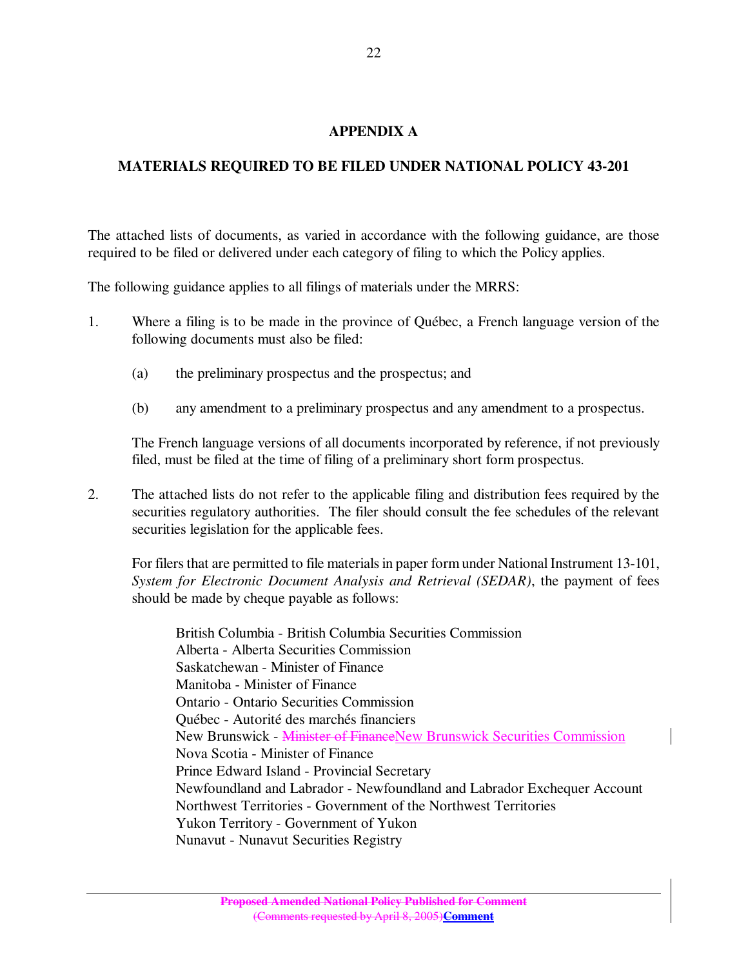### **APPENDIX A**

## **MATERIALS REQUIRED TO BE FILED UNDER NATIONAL POLICY 43-201**

The attached lists of documents, as varied in accordance with the following guidance, are those required to be filed or delivered under each category of filing to which the Policy applies.

The following guidance applies to all filings of materials under the MRRS:

- 1. Where a filing is to be made in the province of Québec, a French language version of the following documents must also be filed:
	- (a) the preliminary prospectus and the prospectus; and
	- (b) any amendment to a preliminary prospectus and any amendment to a prospectus.

The French language versions of all documents incorporated by reference, if not previously filed, must be filed at the time of filing of a preliminary short form prospectus.

2. The attached lists do not refer to the applicable filing and distribution fees required by the securities regulatory authorities. The filer should consult the fee schedules of the relevant securities legislation for the applicable fees.

For filers that are permitted to file materials in paper form under National Instrument 13-101, *System for Electronic Document Analysis and Retrieval (SEDAR)*, the payment of fees should be made by cheque payable as follows:

British Columbia - British Columbia Securities Commission Alberta - Alberta Securities Commission Saskatchewan - Minister of Finance Manitoba - Minister of Finance Ontario - Ontario Securities Commission Québec - Autorité des marchés financiers New Brunswick - Minister of FinanceNew Brunswick Securities Commission Nova Scotia - Minister of Finance Prince Edward Island - Provincial Secretary Newfoundland and Labrador - Newfoundland and Labrador Exchequer Account Northwest Territories - Government of the Northwest Territories Yukon Territory - Government of Yukon Nunavut - Nunavut Securities Registry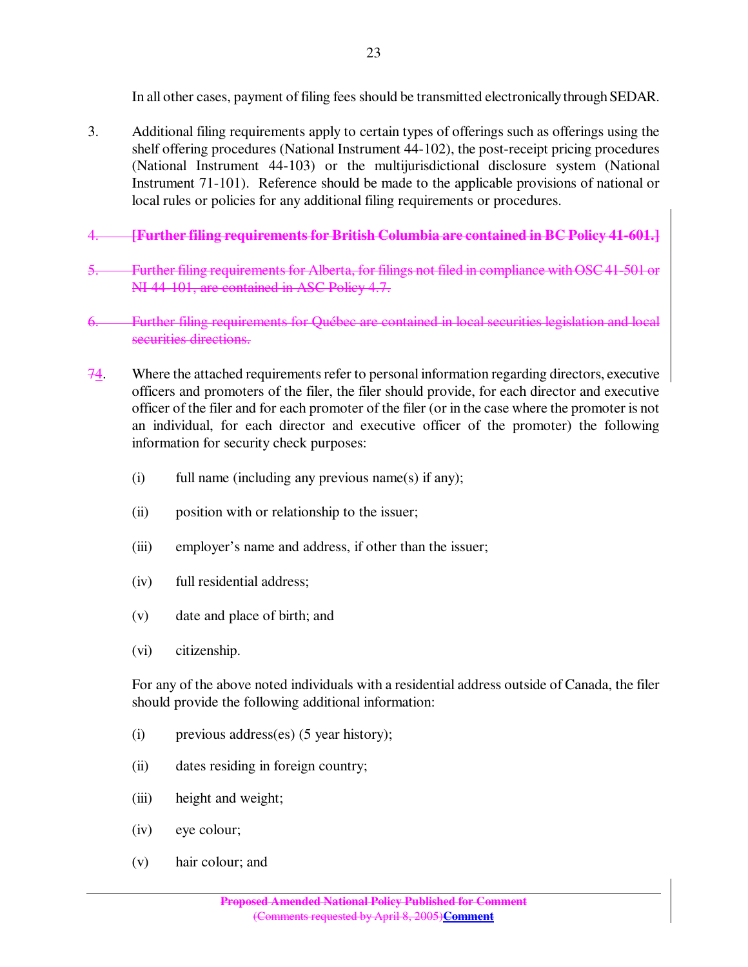In all other cases, payment of filing fees should be transmitted electronically through SEDAR.

- 3. Additional filing requirements apply to certain types of offerings such as offerings using the shelf offering procedures (National Instrument 44-102), the post-receipt pricing procedures (National Instrument 44-103) or the multijurisdictional disclosure system (National Instrument 71-101). Reference should be made to the applicable provisions of national or local rules or policies for any additional filing requirements or procedures.
- 4. **[Further filing requirements for British Columbia are contained in BC Policy 41-601.]**
- 5. Further filing requirementsfor Alberta, for filings not filed in compliance withOSC41-501 or NI 44-101, are contained in ASC Policy 4.7.
- 6. Further filing requirements for Québec are contained in local securities legislation and local securities directions.
- $74.$  Where the attached requirements refer to personal information regarding directors, executive officers and promoters of the filer, the filer should provide, for each director and executive officer of the filer and for each promoter of the filer (or in the case where the promoter is not an individual, for each director and executive officer of the promoter) the following information for security check purposes:
	- (i) full name (including any previous name(s) if any);
	- (ii) position with or relationship to the issuer;
	- (iii) employer's name and address, if other than the issuer;
	- (iv) full residential address;
	- (v) date and place of birth; and
	- (vi) citizenship.

For any of the above noted individuals with a residential address outside of Canada, the filer should provide the following additional information:

- (i) previous address(es) (5 year history);
- (ii) dates residing in foreign country;
- (iii) height and weight;
- (iv) eye colour;
- (v) hair colour; and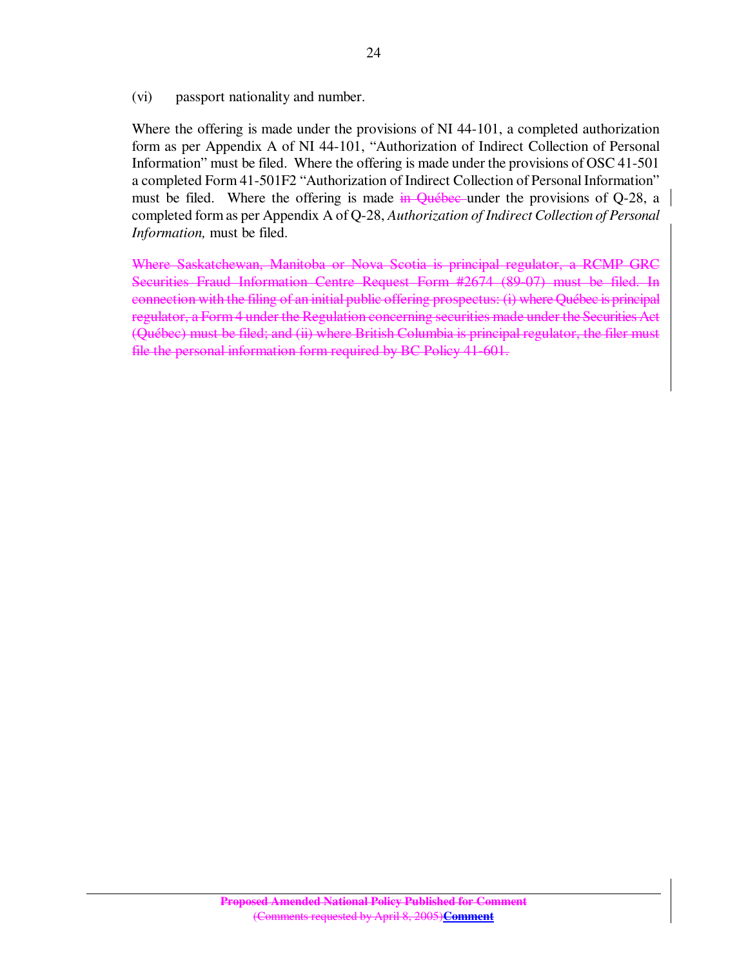(vi) passport nationality and number.

Where the offering is made under the provisions of NI 44-101, a completed authorization form as per Appendix A of NI 44-101, "Authorization of Indirect Collection of Personal Information" must be filed. Where the offering is made under the provisions of OSC 41-501 a completed Form 41-501F2 "Authorization of Indirect Collection of Personal Information" must be filed. Where the offering is made in Québec under the provisions of Q-28, a completed form as per Appendix A of Q-28, *Authorization of Indirect Collection of Personal Information,* must be filed.

Where Saskatchewan, Manitoba or Nova Scotia is principal regulator, a RCMP GRC Securities Fraud Information Centre Request Form #2674 (89-07) must be filed. In connection with the filing of an initial public offering prospectus: (i) where Québec is principal regulator, a Form 4 under the Regulation concerning securities made under the Securities Act (Québec) must be filed; and (ii) where British Columbia is principal regulator, the filer must file the personal information form required by BC Policy 41-601.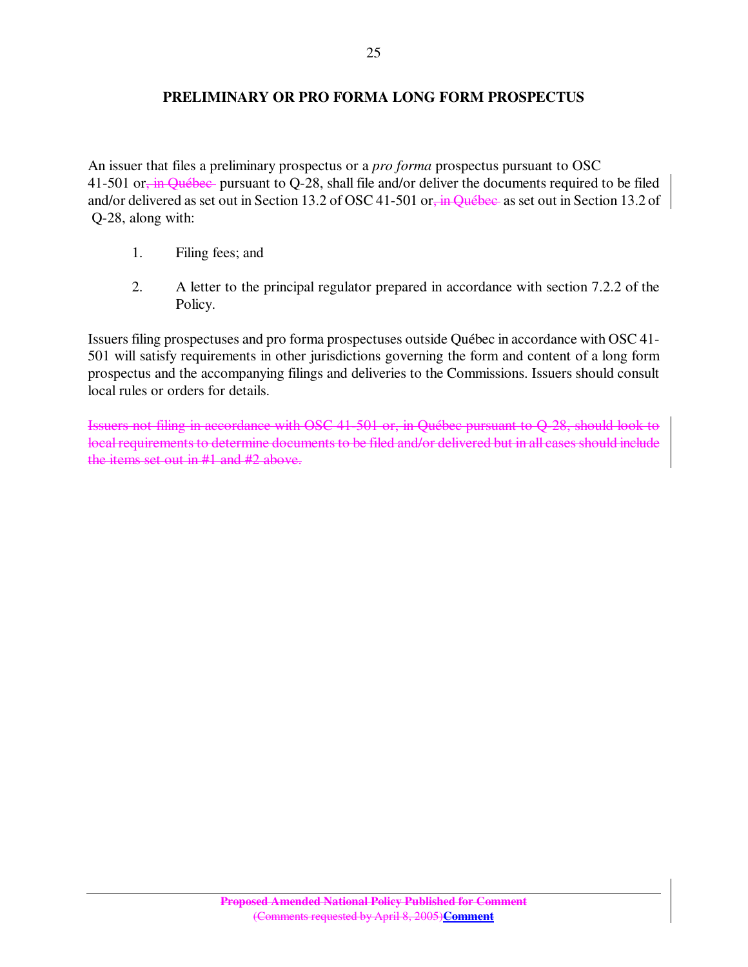### **PRELIMINARY OR PRO FORMA LONG FORM PROSPECTUS**

An issuer that files a preliminary prospectus or a *pro forma* prospectus pursuant to OSC 41-501 or, in Québec pursuant to Q-28, shall file and/or deliver the documents required to be filed and/or delivered as set out in Section 13.2 of OSC 41-501 or, in Québec as set out in Section 13.2 of Q-28, along with:

- 1. Filing fees; and
- 2. A letter to the principal regulator prepared in accordance with section 7.2.2 of the Policy.

Issuers filing prospectuses and pro forma prospectuses outside Québec in accordance with OSC 41- 501 will satisfy requirements in other jurisdictions governing the form and content of a long form prospectus and the accompanying filings and deliveries to the Commissions. Issuers should consult local rules or orders for details.

Issuers not filing in accordance with OSC 41-501 or, in Québec pursuant to Q-28, should look to local requirements to determine documents to be filed and/or delivered but in all cases should include the items set out in #1 and #2 above.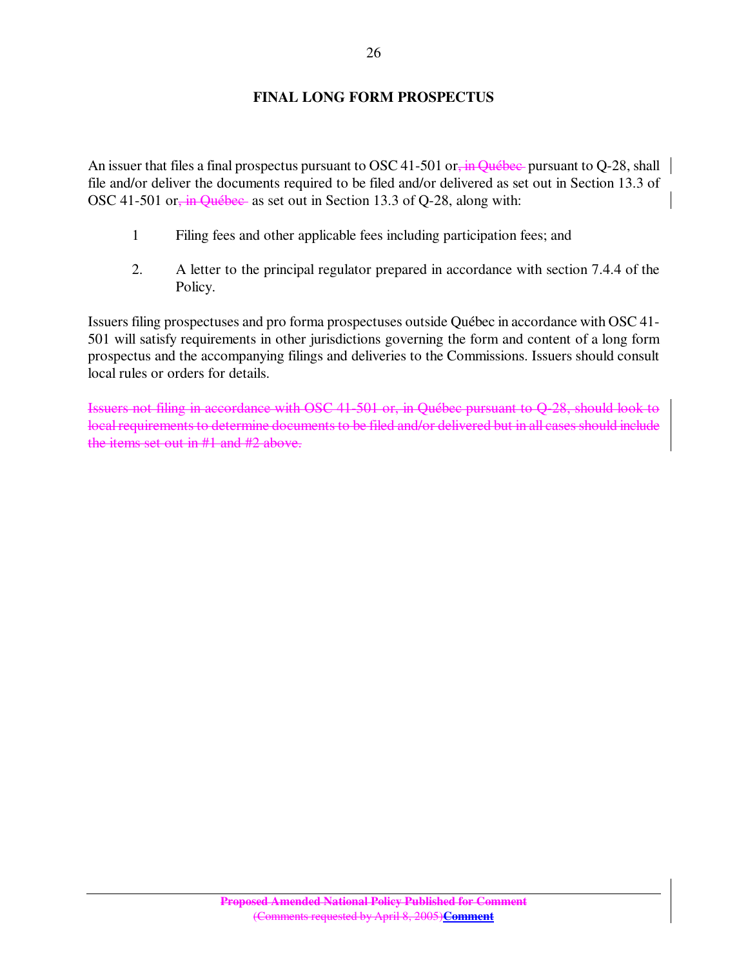## **FINAL LONG FORM PROSPECTUS**

An issuer that files a final prospectus pursuant to OSC 41-501 or, in Québec pursuant to Q-28, shall file and/or deliver the documents required to be filed and/or delivered as set out in Section 13.3 of OSC 41-501 or, in Québec as set out in Section 13.3 of Q-28, along with:

- 1 Filing fees and other applicable fees including participation fees; and
- 2. A letter to the principal regulator prepared in accordance with section 7.4.4 of the Policy.

Issuers filing prospectuses and pro forma prospectuses outside Québec in accordance with OSC 41- 501 will satisfy requirements in other jurisdictions governing the form and content of a long form prospectus and the accompanying filings and deliveries to the Commissions. Issuers should consult local rules or orders for details.

Issuers not filing in accordance with OSC 41-501 or, in Québec pursuant to Q-28, should look to local requirements to determine documents to be filed and/or delivered but in all cases should include the items set out in #1 and #2 above.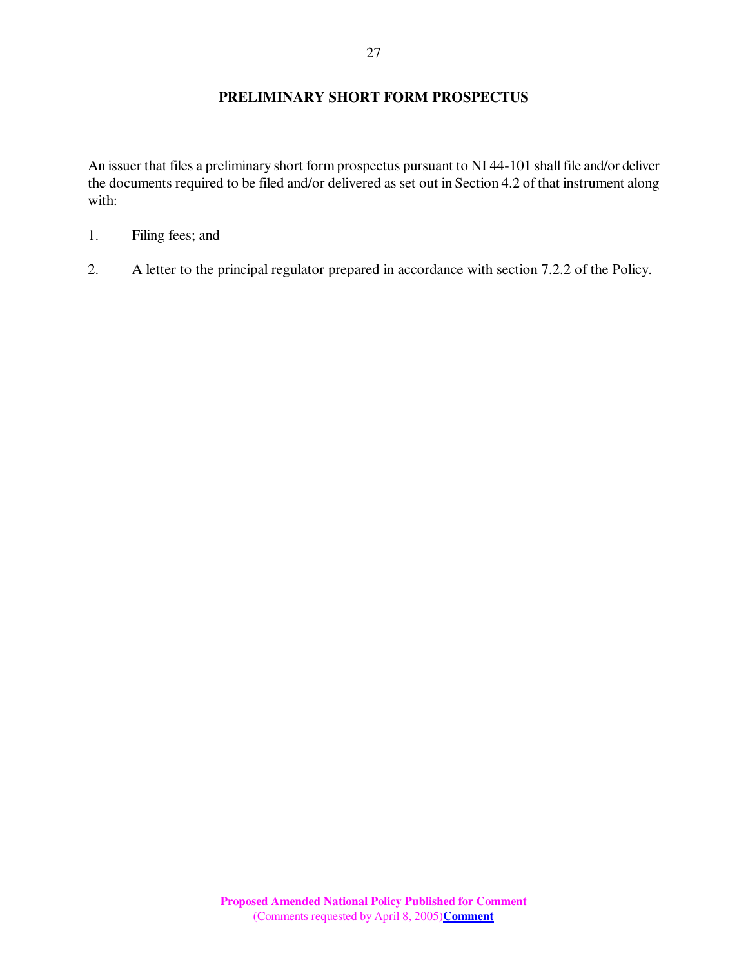### **PRELIMINARY SHORT FORM PROSPECTUS**

An issuer that files a preliminary short form prospectus pursuant to NI 44-101 shall file and/or deliver the documents required to be filed and/or delivered as set out in Section 4.2 of that instrument along with:

- 1. Filing fees; and
- 2. A letter to the principal regulator prepared in accordance with section 7.2.2 of the Policy.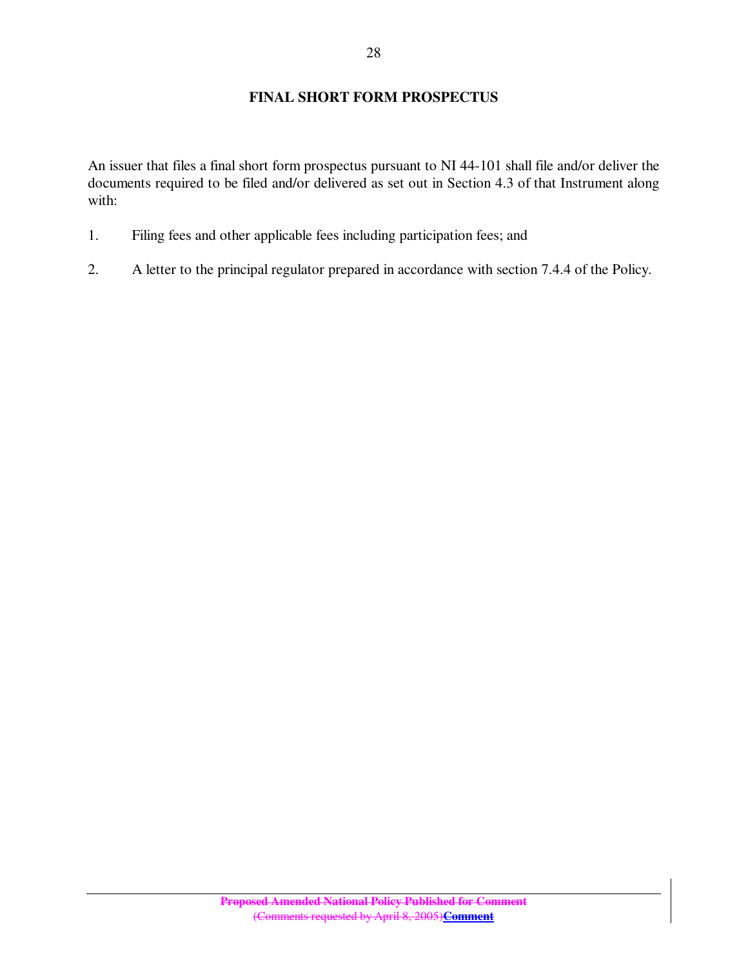## **FINAL SHORT FORM PROSPECTUS**

An issuer that files a final short form prospectus pursuant to NI 44-101 shall file and/or deliver the documents required to be filed and/or delivered as set out in Section 4.3 of that Instrument along with:

- 1. Filing fees and other applicable fees including participation fees; and
- 2. A letter to the principal regulator prepared in accordance with section 7.4.4 of the Policy.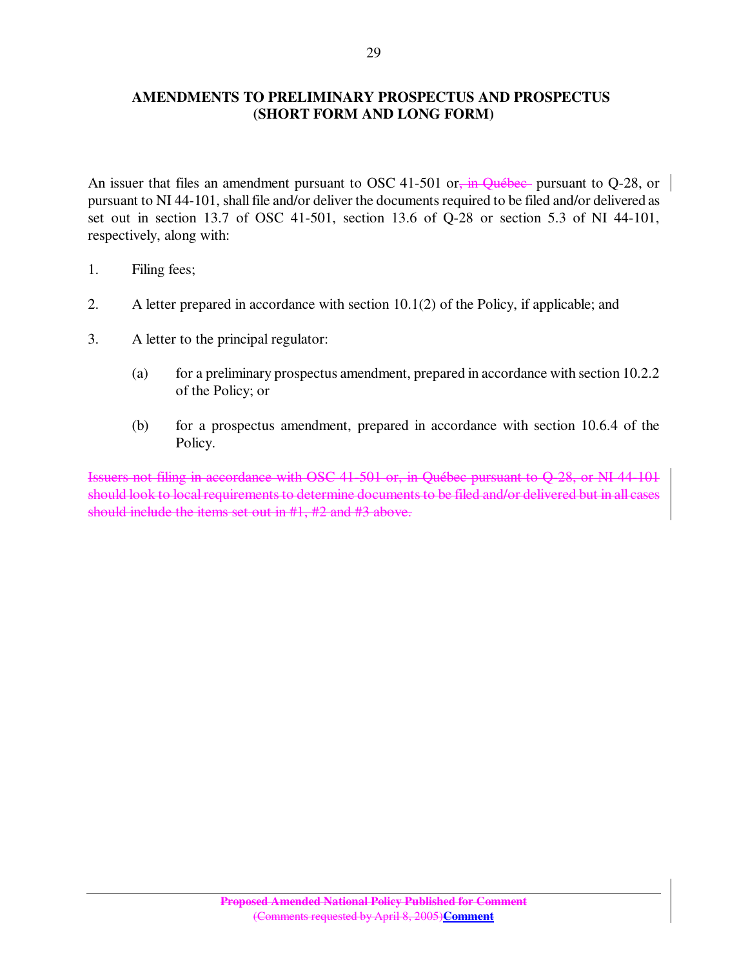### **AMENDMENTS TO PRELIMINARY PROSPECTUS AND PROSPECTUS (SHORT FORM AND LONG FORM)**

An issuer that files an amendment pursuant to OSC 41-501 or, in Ouébec- pursuant to O-28, or pursuant to NI 44-101, shall file and/or deliver the documents required to be filed and/or delivered as set out in section 13.7 of OSC 41-501, section 13.6 of Q-28 or section 5.3 of NI 44-101, respectively, along with:

- 1. Filing fees;
- 2. A letter prepared in accordance with section 10.1(2) of the Policy, if applicable; and
- 3. A letter to the principal regulator:
	- (a) for a preliminary prospectus amendment, prepared in accordance with section 10.2.2 of the Policy; or
	- (b) for a prospectus amendment, prepared in accordance with section 10.6.4 of the Policy.

Issuers not filing in accordance with OSC 41-501 or, in Québec pursuant to Q-28, or NI 44-101 should look to local requirements to determine documents to be filed and/or delivered but in all cases should include the items set out in #1, #2 and #3 above.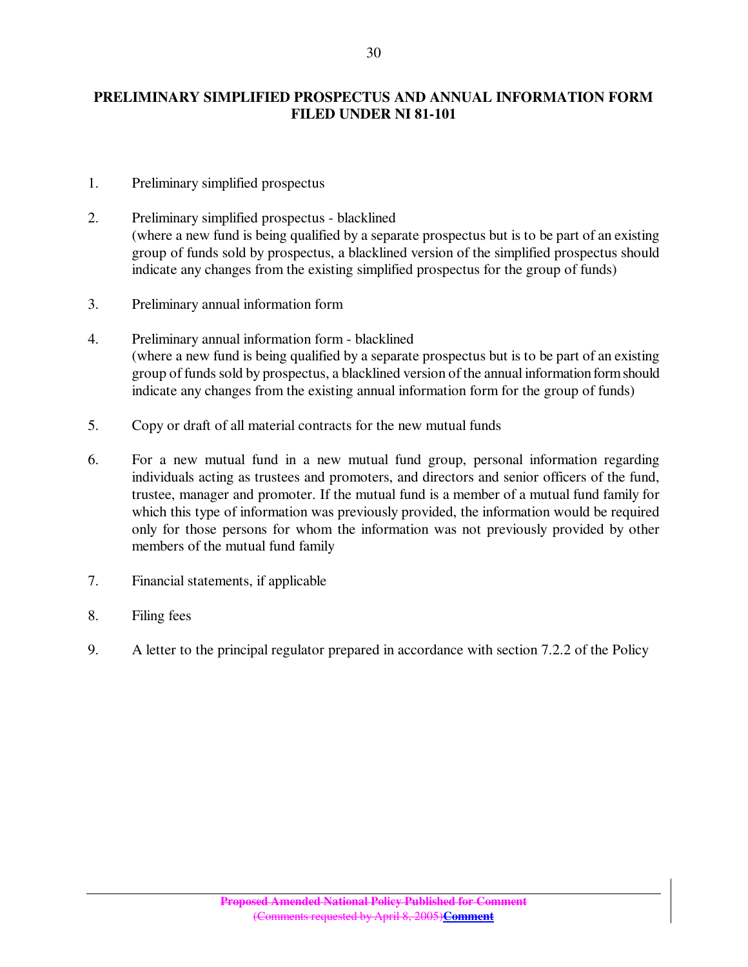## **PRELIMINARY SIMPLIFIED PROSPECTUS AND ANNUAL INFORMATION FORM FILED UNDER NI 81-101**

- 1. Preliminary simplified prospectus
- 2. Preliminary simplified prospectus blacklined (where a new fund is being qualified by a separate prospectus but is to be part of an existing group of funds sold by prospectus, a blacklined version of the simplified prospectus should indicate any changes from the existing simplified prospectus for the group of funds)
- 3. Preliminary annual information form
- 4. Preliminary annual information form blacklined (where a new fund is being qualified by a separate prospectus but is to be part of an existing group of funds sold by prospectus, a blacklined version of the annual information form should indicate any changes from the existing annual information form for the group of funds)
- 5. Copy or draft of all material contracts for the new mutual funds
- 6. For a new mutual fund in a new mutual fund group, personal information regarding individuals acting as trustees and promoters, and directors and senior officers of the fund, trustee, manager and promoter. If the mutual fund is a member of a mutual fund family for which this type of information was previously provided, the information would be required only for those persons for whom the information was not previously provided by other members of the mutual fund family
- 7. Financial statements, if applicable
- 8. Filing fees
- 9. A letter to the principal regulator prepared in accordance with section 7.2.2 of the Policy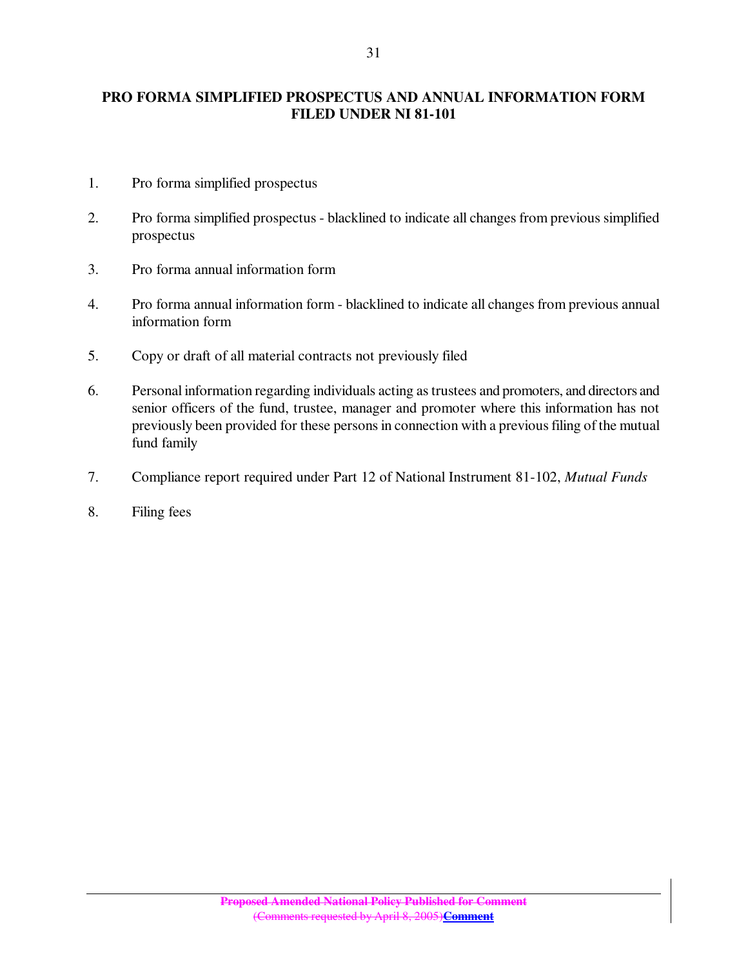## **PRO FORMA SIMPLIFIED PROSPECTUS AND ANNUAL INFORMATION FORM FILED UNDER NI 81-101**

- 1. Pro forma simplified prospectus
- 2. Pro forma simplified prospectus blacklined to indicate all changes from previous simplified prospectus
- 3. Pro forma annual information form
- 4. Pro forma annual information form blacklined to indicate all changes from previous annual information form
- 5. Copy or draft of all material contracts not previously filed
- 6. Personal information regarding individuals acting astrustees and promoters, and directors and senior officers of the fund, trustee, manager and promoter where this information has not previously been provided for these persons in connection with a previous filing of the mutual fund family
- 7. Compliance report required under Part 12 of National Instrument 81-102, *Mutual Funds*
- 8. Filing fees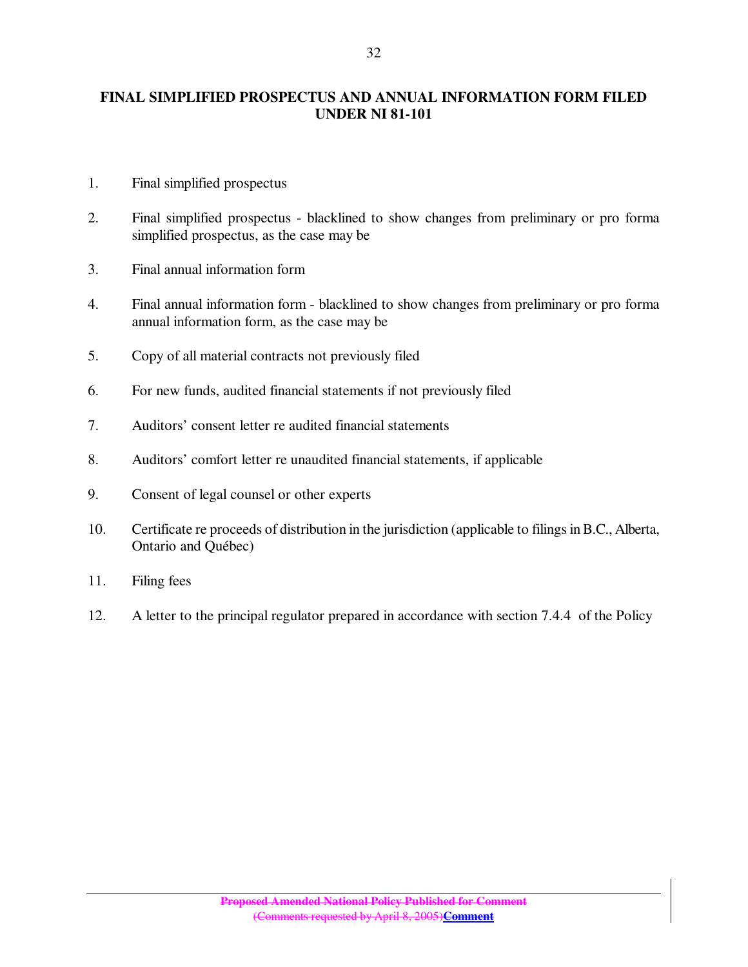### **FINAL SIMPLIFIED PROSPECTUS AND ANNUAL INFORMATION FORM FILED UNDER NI 81-101**

- 1. Final simplified prospectus
- 2. Final simplified prospectus blacklined to show changes from preliminary or pro forma simplified prospectus, as the case may be
- 3. Final annual information form
- 4. Final annual information form blacklined to show changes from preliminary or pro forma annual information form, as the case may be
- 5. Copy of all material contracts not previously filed
- 6. For new funds, audited financial statements if not previously filed
- 7. Auditors' consent letter re audited financial statements
- 8. Auditors' comfort letter re unaudited financial statements, if applicable
- 9. Consent of legal counsel or other experts
- 10. Certificate re proceeds of distribution in the jurisdiction (applicable to filings in B.C., Alberta, Ontario and Québec)
- 11. Filing fees
- 12. A letter to the principal regulator prepared in accordance with section 7.4.4 of the Policy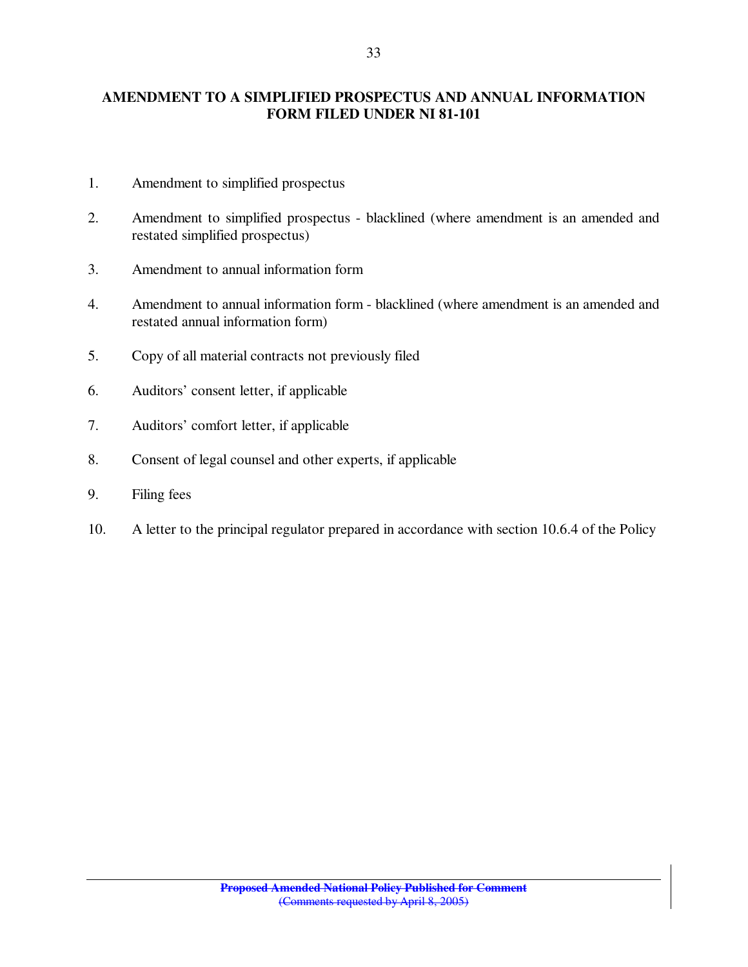## **AMENDMENT TO A SIMPLIFIED PROSPECTUS AND ANNUAL INFORMATION FORM FILED UNDER NI 81-101**

- 1. Amendment to simplified prospectus
- 2. Amendment to simplified prospectus blacklined (where amendment is an amended and restated simplified prospectus)
- 3. Amendment to annual information form
- 4. Amendment to annual information form blacklined (where amendment is an amended and restated annual information form)
- 5. Copy of all material contracts not previously filed
- 6. Auditors' consent letter, if applicable
- 7. Auditors' comfort letter, if applicable
- 8. Consent of legal counsel and other experts, if applicable
- 9. Filing fees
- 10. A letter to the principal regulator prepared in accordance with section 10.6.4 of the Policy